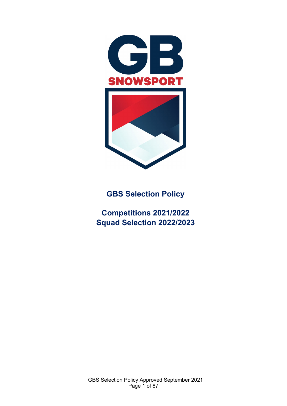

**GBS Selection Policy** 

**Competitions 2021/2022 Squad Selection 2022/2023**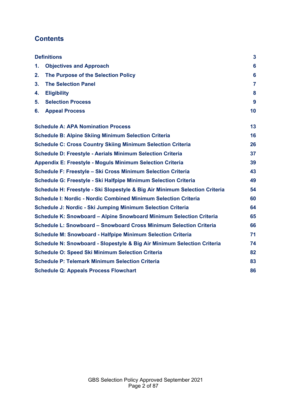# **Contents**

|    | <b>Definitions</b>                                                          | $\mathbf{3}$   |
|----|-----------------------------------------------------------------------------|----------------|
| 1. | <b>Objectives and Approach</b>                                              | 6              |
| 2. | The Purpose of the Selection Policy                                         | 6              |
| 3. | <b>The Selection Panel</b>                                                  | $\overline{7}$ |
| 4. | <b>Eligibility</b>                                                          | 8              |
| 5. | <b>Selection Process</b>                                                    | 9              |
| 6. | <b>Appeal Process</b>                                                       | 10             |
|    | <b>Schedule A: APA Nomination Process</b>                                   | 13             |
|    | <b>Schedule B: Alpine Skiing Minimum Selection Criteria</b>                 | 16             |
|    | <b>Schedule C: Cross Country Skiing Minimum Selection Criteria</b>          | 26             |
|    | <b>Schedule D: Freestyle - Aerials Minimum Selection Criteria</b>           | 37             |
|    | <b>Appendix E: Freestyle - Moguls Minimum Selection Criteria</b>            | 39             |
|    | Schedule F: Freestyle - Ski Cross Minimum Selection Criteria                | 43             |
|    | Schedule G: Freestyle - Ski Halfpipe Minimum Selection Criteria             | 49             |
|    | Schedule H: Freestyle - Ski Slopestyle & Big Air Minimum Selection Criteria | 54             |
|    | <b>Schedule I: Nordic - Nordic Combined Minimum Selection Criteria</b>      | 60             |
|    | Schedule J: Nordic - Ski Jumping Minimum Selection Criteria                 | 64             |
|    | Schedule K: Snowboard – Alpine Snowboard Minimum Selection Criteria         | 65             |
|    | Schedule L: Snowboard - Snowboard Cross Minimum Selection Criteria          | 66             |
|    | <b>Schedule M: Snowboard - Halfpipe Minimum Selection Criteria</b>          | 71             |
|    | Schedule N: Snowboard - Slopestyle & Big Air Minimum Selection Criteria     | 74             |
|    | <b>Schedule O: Speed Ski Minimum Selection Criteria</b>                     | 82             |
|    | <b>Schedule P: Telemark Minimum Selection Criteria</b>                      | 83             |
|    | <b>Schedule Q: Appeals Process Flowchart</b>                                | 86             |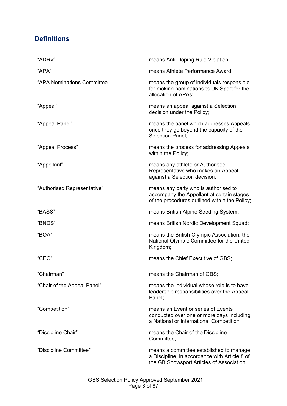# <span id="page-2-0"></span>**Definitions**

| "ADRV"                      | means Anti-Doping Rule Violation;                                                                                                     |
|-----------------------------|---------------------------------------------------------------------------------------------------------------------------------------|
| "APA"                       | means Athlete Performance Award;                                                                                                      |
| "APA Nominations Committee" | means the group of individuals responsible<br>for making nominations to UK Sport for the<br>allocation of APAs;                       |
| "Appeal"                    | means an appeal against a Selection<br>decision under the Policy;                                                                     |
| "Appeal Panel"              | means the panel which addresses Appeals<br>once they go beyond the capacity of the<br>Selection Panel;                                |
| "Appeal Process"            | means the process for addressing Appeals<br>within the Policy;                                                                        |
| "Appellant"                 | means any athlete or Authorised<br>Representative who makes an Appeal<br>against a Selection decision;                                |
| "Authorised Representative" | means any party who is authorised to<br>accompany the Appellant at certain stages<br>of the procedures outlined within the Policy;    |
| "BASS"                      | means British Alpine Seeding System;                                                                                                  |
| "BNDS"                      | means British Nordic Development Squad;                                                                                               |
| "BOA"                       | means the British Olympic Association, the<br>National Olympic Committee for the United<br>Kingdom;                                   |
| "CEO"                       | means the Chief Executive of GBS;                                                                                                     |
| "Chairman"                  | means the Chairman of GBS;                                                                                                            |
| "Chair of the Appeal Panel" | means the individual whose role is to have<br>leadership responsibilities over the Appeal<br>Panel;                                   |
| "Competition"               | means an Event or series of Events<br>conducted over one or more days including<br>a National or International Competition;           |
| "Discipline Chair"          | means the Chair of the Discipline<br>Committee;                                                                                       |
| "Discipline Committee"      | means a committee established to manage<br>a Discipline, in accordance with Article 8 of<br>the GB Snowsport Articles of Association; |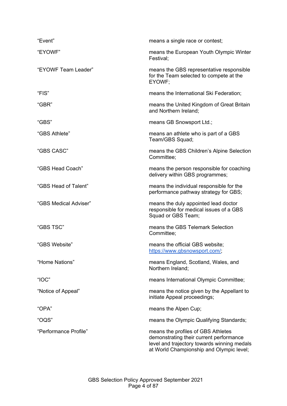| "Event"               | means a single race or contest;                                                                                                                                          |
|-----------------------|--------------------------------------------------------------------------------------------------------------------------------------------------------------------------|
| "EYOWF"               | means the European Youth Olympic Winter<br>Festival;                                                                                                                     |
| "EYOWF Team Leader"   | means the GBS representative responsible<br>for the Team selected to compete at the<br>EYOWF;                                                                            |
| "FIS"                 | means the International Ski Federation;                                                                                                                                  |
| "GBR"                 | means the United Kingdom of Great Britain<br>and Northern Ireland;                                                                                                       |
| "GBS"                 | means GB Snowsport Ltd.;                                                                                                                                                 |
| "GBS Athlete"         | means an athlete who is part of a GBS<br>Team/GBS Squad;                                                                                                                 |
| "GBS CASC"            | means the GBS Children's Alpine Selection<br>Committee;                                                                                                                  |
| "GBS Head Coach"      | means the person responsible for coaching<br>delivery within GBS programmes;                                                                                             |
| "GBS Head of Talent"  | means the individual responsible for the<br>performance pathway strategy for GBS;                                                                                        |
| "GBS Medical Adviser" | means the duly appointed lead doctor<br>responsible for medical issues of a GBS<br>Squad or GBS Team;                                                                    |
| "GBS TSC"             | means the GBS Telemark Selection<br>Committee;                                                                                                                           |
| "GBS Website"         | means the official GBS website;<br>https://www.gbsnowsport.com/;                                                                                                         |
| "Home Nations"        | means England, Scotland, Wales, and<br>Northern Ireland;                                                                                                                 |
| "IOC"                 | means International Olympic Committee;                                                                                                                                   |
| "Notice of Appeal"    | means the notice given by the Appellant to<br>initiate Appeal proceedings;                                                                                               |
| "OPA"                 | means the Alpen Cup;                                                                                                                                                     |
| "OQS"                 | means the Olympic Qualifying Standards;                                                                                                                                  |
| "Performance Profile" | means the profiles of GBS Athletes<br>demonstrating their current performance<br>level and trajectory towards winning medals<br>at World Championship and Olympic level; |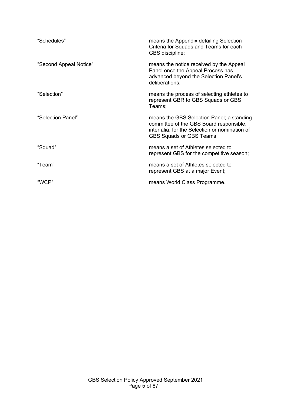| "Schedules"            | means the Appendix detailing Selection<br>Criteria for Squads and Teams for each<br>GBS discipline;                                                                       |
|------------------------|---------------------------------------------------------------------------------------------------------------------------------------------------------------------------|
| "Second Appeal Notice" | means the notice received by the Appeal<br>Panel once the Appeal Process has<br>advanced beyond the Selection Panel's<br>deliberations;                                   |
| "Selection"            | means the process of selecting athletes to<br>represent GBR to GBS Squads or GBS<br>Teams;                                                                                |
| "Selection Panel"      | means the GBS Selection Panel; a standing<br>committee of the GBS Board responsible,<br>inter alia, for the Selection or nomination of<br><b>GBS Squads or GBS Teams;</b> |
| "Squad"                | means a set of Athletes selected to<br>represent GBS for the competitive season;                                                                                          |
| "Team"                 | means a set of Athletes selected to<br>represent GBS at a major Event;                                                                                                    |
| "WCP"                  | means World Class Programme.                                                                                                                                              |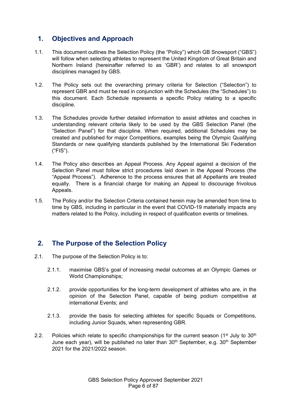# <span id="page-5-0"></span>**1. Objectives and Approach**

- 1.1. This document outlines the Selection Policy (the "Policy") which GB Snowsport ("GBS") will follow when selecting athletes to represent the United Kingdom of Great Britain and Northern Ireland (hereinafter referred to as 'GBR') and relates to all snowsport disciplines managed by GBS.
- 1.2. The Policy sets out the overarching primary criteria for Selection ("Selection") to represent GBR and must be read in conjunction with the Schedules (the "Schedules") to this document. Each Schedule represents a specific Policy relating to a specific discipline.
- 1.3. The Schedules provide further detailed information to assist athletes and coaches in understanding relevant criteria likely to be used by the GBS Selection Panel (the "Selection Panel") for that discipline. When required, additional Schedules may be created and published for major Competitions, examples being the Olympic Qualifying Standards or new qualifying standards published by the International Ski Federation ("FIS").
- 1.4. The Policy also describes an Appeal Process. Any Appeal against a decision of the Selection Panel must follow strict procedures laid down in the Appeal Process (the "Appeal Process"). Adherence to the process ensures that all Appellants are treated equally. There is a financial charge for making an Appeal to discourage frivolous Appeals.
- 1.5. The Policy and/or the Selection Criteria contained herein may be amended from time to time by GBS, including in particular in the event that COVID-19 materially impacts any matters related to the Policy, including in respect of qualification events or timelines.

# <span id="page-5-1"></span>**2. The Purpose of the Selection Policy**

- 2.1. The purpose of the Selection Policy is to:
	- 2.1.1. maximise GBS's goal of increasing medal outcomes at an Olympic Games or World Championships;
	- 2.1.2. provide opportunities for the long-term development of athletes who are, in the opinion of the Selection Panel, capable of being podium competitive at international Events; and
	- 2.1.3. provide the basis for selecting athletes for specific Squads or Competitions, including Junior Squads, when representing GBR.
- 2.2. Policies which relate to specific championships for the current season (1<sup>st</sup> July to 30<sup>th</sup>) June each year), will be published no later than  $30<sup>th</sup>$  September, e.g.  $30<sup>th</sup>$  September 2021 for the 2021/2022 season.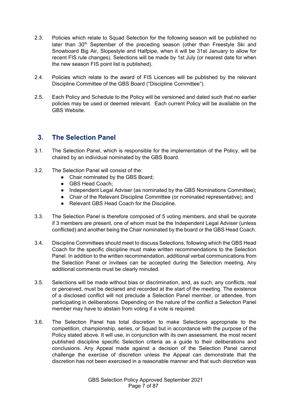- 2.3. Policies which relate to Squad Selection for the following season will be published no later than  $30<sup>th</sup>$  September of the preceding season (other than Freestyle Ski and Snowboard Big Air, Slopestyle and Halfpipe, when it will be 31st January to allow for recent FIS rule changes). Selections will be made by 1st July (or nearest date for when the new season FIS point list is published).
- 2.4. Policies which relate to the award of FIS Licences will be published by the relevant Discipline Committee of the GBS Board ("Discipline Committee").
- 2.5. Each Policy and Schedule to the Policy will be versioned and dated such that no earlier policies may be used or deemed relevant. Each current Policy will be available on the GBS Website.

# <span id="page-6-0"></span>**3. The Selection Panel**

- 3.1. The Selection Panel, which is responsible for the implementation of the Policy, will be chaired by an individual nominated by the GBS Board.
- 3.2. The Selection Panel will consist of the:
	- Chair nominated by the GBS Board:
	- GBS Head Coach:
	- Independent Legal Adviser (as nominated by the GBS Nominations Committee);
	- Chair of the Relevant Discipline Committee (or nominated representative); and
	- Relevant GBS Head Coach for the Discipline.
- 3.3. The Selection Panel is therefore composed of 5 voting members, and shall be quorate if 3 members are present, one of whom must be the Independent Legal Adviser (unless conflicted) and another being the Chair nominated by the board or the GBS Head Coach.
- 3.4. Discipline Committees should meet to discuss Selections, following which the GBS Head Coach for the specific discipline must make written recommendations to the Selection Panel. In addition to the written recommendation, additional verbal communications from the Selection Panel or invitees can be accepted during the Selection meeting. Any additional comments must be clearly minuted.
- 3.5. Selections will be made without bias or discrimination, and, as such, any conflicts, real or perceived, must be declared and recorded at the start of the meeting. The existence of a disclosed conflict will not preclude a Selection Panel member, or attendee, from participating in deliberations. Depending on the nature of the conflict a Selection Panel member may have to abstain from voting if a vote is required.
- 3.6. The Selection Panel has total discretion to make Selections appropriate to the competition, championship, series, or Squad but in accordance with the purpose of the Policy stated above. It will use, in conjunction with its own assessment, the most recent published discipline specific Selection criteria as a guide to their deliberations and conclusions. Any Appeal made against a decision of the Selection Panel cannot challenge the exercise of discretion unless the Appeal can demonstrate that the discretion has not been exercised in a reasonable manner and that such discretion was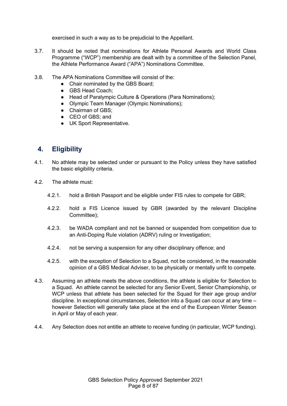exercised in such a way as to be prejudicial to the Appellant.

- 3.7. It should be noted that nominations for Athlete Personal Awards and World Class Programme ("WCP") membership are dealt with by a committee of the Selection Panel, the Athlete Performance Award ("APA") Nominations Committee.
- 3.8. The APA Nominations Committee will consist of the:
	- Chair nominated by the GBS Board:
	- GBS Head Coach:
	- Head of Paralympic Culture & Operations (Para Nominations);
	- Olympic Team Manager (Olympic Nominations);
	- Chairman of GBS:
	- CEO of GBS: and
	- UK Sport Representative.

## <span id="page-7-0"></span>**4. Eligibility**

- 4.1. No athlete may be selected under or pursuant to the Policy unless they have satisfied the basic eligibility criteria.
- 4.2. The athlete must:
	- 4.2.1. hold a British Passport and be eligible under FIS rules to compete for GBR;
	- 4.2.2. hold a FIS Licence issued by GBR (awarded by the relevant Discipline Committee);
	- 4.2.3. be WADA compliant and not be banned or suspended from competition due to an Anti-Doping Rule violation (ADRV) ruling or Investigation;
	- 4.2.4. not be serving a suspension for any other disciplinary offence; and
	- 4.2.5. with the exception of Selection to a Squad, not be considered, in the reasonable opinion of a GBS Medical Adviser, to be physically or mentally unfit to compete.
- 4.3. Assuming an athlete meets the above conditions, the athlete is eligible for Selection to a Squad. An athlete cannot be selected for any Senior Event, Senior Championship, or WCP unless that athlete has been selected for the Squad for their age group and/or discipline. In exceptional circumstances, Selection into a Squad can occur at any time – however Selection will generally take place at the end of the European Winter Season in April or May of each year.
- 4.4. Any Selection does not entitle an athlete to receive funding (in particular, WCP funding).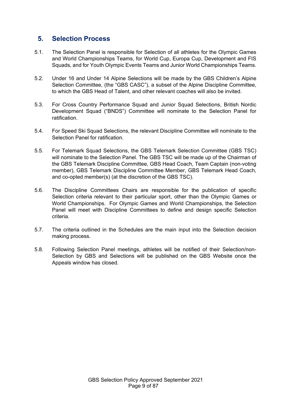## <span id="page-8-0"></span>**5. Selection Process**

- 5.1. The Selection Panel is responsible for Selection of all athletes for the Olympic Games and World Championships Teams, for World Cup, Europa Cup, Development and FIS Squads, and for Youth Olympic Events Teams and Junior World Championships Teams.
- 5.2. Under 16 and Under 14 Alpine Selections will be made by the GBS Children's Alpine Selection Committee, (the "GBS CASC"), a subset of the Alpine Discipline Committee, to which the GBS Head of Talent, and other relevant coaches will also be invited.
- 5.3. For Cross Country Performance Squad and Junior Squad Selections, British Nordic Development Squad ("BNDS") Committee will nominate to the Selection Panel for ratification.
- 5.4. For Speed Ski Squad Selections, the relevant Discipline Committee will nominate to the Selection Panel for ratification.
- 5.5. For Telemark Squad Selections, the GBS Telemark Selection Committee (GBS TSC) will nominate to the Selection Panel. The GBS TSC will be made up of the Chairman of the GBS Telemark Discipline Committee, GBS Head Coach, Team Captain (non-voting member), GBS Telemark Discipline Committee Member, GBS Telemark Head Coach, and co-opted member(s) (at the discretion of the GBS TSC).
- 5.6. The Discipline Committees Chairs are responsible for the publication of specific Selection criteria relevant to their particular sport, other than the Olympic Games or World Championships. For Olympic Games and World Championships, the Selection Panel will meet with Discipline Committees to define and design specific Selection criteria.
- 5.7. The criteria outlined in the Schedules are the main input into the Selection decision making process.
- 5.8. Following Selection Panel meetings, athletes will be notified of their Selection/non-Selection by GBS and Selections will be published on the GBS Website once the Appeals window has closed.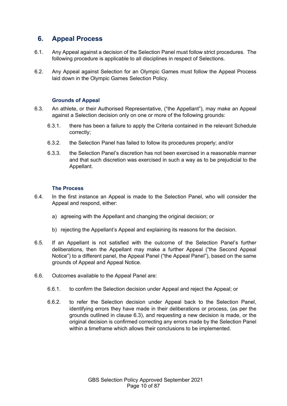## <span id="page-9-0"></span>**6. Appeal Process**

- 6.1. Any Appeal against a decision of the Selection Panel must follow strict procedures. The following procedure is applicable to all disciplines in respect of Selections.
- 6.2. Any Appeal against Selection for an Olympic Games must follow the Appeal Process laid down in the Olympic Games Selection Policy.

## **Grounds of Appeal**

- 6.3. An athlete, or their Authorised Representative, ("the Appellant"), may make an Appeal against a Selection decision only on one or more of the following grounds:
	- 6.3.1. there has been a failure to apply the Criteria contained in the relevant Schedule correctly;
	- 6.3.2. the Selection Panel has failed to follow its procedures properly; and/or
	- 6.3.3. the Selection Panel's discretion has not been exercised in a reasonable manner and that such discretion was exercised in such a way as to be prejudicial to the Appellant.

## **The Process**

- 6.4. In the first instance an Appeal is made to the Selection Panel, who will consider the Appeal and respond, either:
	- a) agreeing with the Appellant and changing the original decision; or
	- b) rejecting the Appellant's Appeal and explaining its reasons for the decision.
- 6.5. If an Appellant is not satisfied with the outcome of the Selection Panel's further deliberations, then the Appellant may make a further Appeal ("the Second Appeal Notice") to a different panel, the Appeal Panel ("the Appeal Panel"), based on the same grounds of Appeal and Appeal Notice.
- 6.6. Outcomes available to the Appeal Panel are:
	- 6.6.1. to confirm the Selection decision under Appeal and reject the Appeal; or
	- 6.6.2. to refer the Selection decision under Appeal back to the Selection Panel, identifying errors they have made in their deliberations or process, (as per the grounds outlined in clause 6.3), and requesting a new decision is made, or the original decision is confirmed correcting any errors made by the Selection Panel within a timeframe which allows their conclusions to be implemented.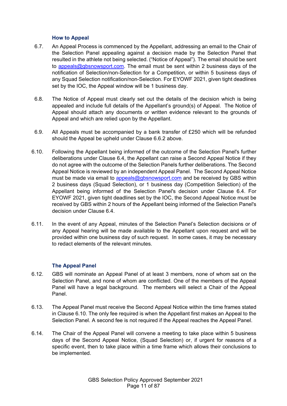#### **How to Appeal**

- 6.7. An Appeal Process is commenced by the Appellant, addressing an email to the Chair of the Selection Panel appealing against a decision made by the Selection Panel that resulted in the athlete not being selected. ("Notice of Appeal"). The email should be sent to [appeals@gbsnowsport.com.](mailto:appeals@gbsnowsport.com) The email must be sent within 2 business days of the notification of Selection/non-Selection for a Competition, or within 5 business days of any Squad Selection notification/non-Selection. For EYOWF 2021, given tight deadlines set by the IOC, the Appeal window will be 1 business day.
- 6.8. The Notice of Appeal must clearly set out the details of the decision which is being appealed and include full details of the Appellant's ground(s) of Appeal. The Notice of Appeal should attach any documents or written evidence relevant to the grounds of Appeal and which are relied upon by the Appellant.
- 6.9. All Appeals must be accompanied by a bank transfer of £250 which will be refunded should the Appeal be upheld under Clause 6.6.2 above.
- 6.10. Following the Appellant being informed of the outcome of the Selection Panel's further deliberations under Clause 6.4, the Appellant can raise a Second Appeal Notice if they do not agree with the outcome of the Selection Panels further deliberations. The Second Appeal Notice is reviewed by an independent Appeal Panel. The Second Appeal Notice must be made via email to [appeals@gbsnowsport.com](mailto:appeals@gbsnowsport.com) and be received by GBS within 2 business days (Squad Selection), or 1 business day (Competition Selection) of the Appellant being informed of the Selection Panel's decision under Clause 6.4. For EYOWF 2021, given tight deadlines set by the IOC, the Second Appeal Notice must be received by GBS within 2 hours of the Appellant being informed of the Selection Panel's decision under Clause 6.4.
- 6.11. In the event of any Appeal, minutes of the Selection Panel's Selection decisions or of any Appeal hearing will be made available to the Appellant upon request and will be provided within one business day of such request. In some cases, it may be necessary to redact elements of the relevant minutes.

## **The Appeal Panel**

- 6.12. GBS will nominate an Appeal Panel of at least 3 members, none of whom sat on the Selection Panel, and none of whom are conflicted. One of the members of the Appeal Panel will have a legal background. The members will select a Chair of the Appeal Panel.
- 6.13. The Appeal Panel must receive the Second Appeal Notice within the time frames stated in Clause 6.10. The only fee required is when the Appellant first makes an Appeal to the Selection Panel. A second fee is not required if the Appeal reaches the Appeal Panel.
- 6.14. The Chair of the Appeal Panel will convene a meeting to take place within 5 business days of the Second Appeal Notice, (Squad Selection) or, if urgent for reasons of a specific event, then to take place within a time frame which allows their conclusions to be implemented.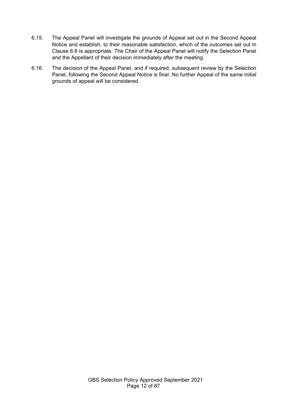- 6.15. The Appeal Panel will investigate the grounds of Appeal set out in the Second Appeal Notice and establish, to their reasonable satisfaction, which of the outcomes set out in Clause 6.6 is appropriate. The Chair of the Appeal Panel will notify the Selection Panel and the Appellant of their decision immediately after the meeting.
- 6.16. The decision of the Appeal Panel, and if required, subsequent review by the Selection Panel, following the Second Appeal Notice is final. No further Appeal of the same initial grounds of appeal will be considered.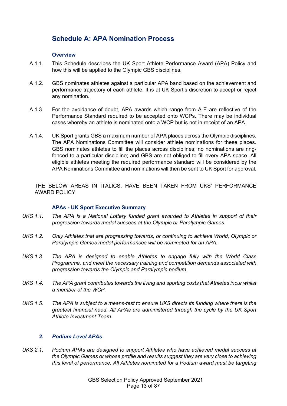# <span id="page-12-0"></span>**Schedule A: APA Nomination Process**

#### **Overview**

- A 1.1. This Schedule describes the UK Sport Athlete Performance Award (APA) Policy and how this will be applied to the Olympic GBS disciplines.
- A 1.2. GBS nominates athletes against a particular APA band based on the achievement and performance trajectory of each athlete. It is at UK Sport's discretion to accept or reject any nomination.
- A 1.3. For the avoidance of doubt, APA awards which range from A-E are reflective of the Performance Standard required to be accepted onto WCPs. There may be individual cases whereby an athlete is nominated onto a WCP but is not in receipt of an APA.
- A 1.4. UK Sport grants GBS a maximum number of APA places across the Olympic disciplines. The APA Nominations Committee will consider athlete nominations for these places. GBS nominates athletes to fill the places across disciplines; no nominations are ringfenced to a particular discipline; and GBS are not obliged to fill every APA space. All eligible athletes meeting the required performance standard will be considered by the APA Nominations Committee and nominations will then be sent to UK Sport for approval.

THE BELOW AREAS IN ITALICS, HAVE BEEN TAKEN FROM UKS' PERFORMANCE AWARD POLICY

#### **APAs - UK Sport Executive Summary**

- *UKS 1.1. The APA is a National Lottery funded grant awarded to Athletes in support of their progression towards medal success at the Olympic or Paralympic Games.*
- *UKS 1.2. Only Athletes that are progressing towards, or continuing to achieve World, Olympic or Paralympic Games medal performances will be nominated for an APA.*
- *UKS 1.3. The APA is designed to enable Athletes to engage fully with the World Class Programme, and meet the necessary training and competition demands associated with progression towards the Olympic and Paralympic podium.*
- *UKS 1.4. The APA grant contributes towards the living and sporting costs that Athletes incur whilst a member of the WCP.*
- *UKS 1.5. The APA is subject to a means-test to ensure UKS directs its funding where there is the greatest financial need. All APAs are administered through the cycle by the UK Sport Athlete Investment Team.*

## *2. Podium Level APAs*

*UKS 2.1. Podium APAs are designed to support Athletes who have achieved medal success at the Olympic Games or whose profile and results suggest they are very close to achieving this level of performance. All Athletes nominated for a Podium award must be targeting*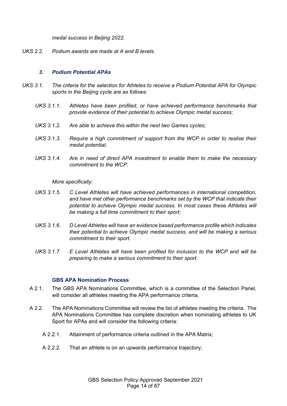*medal success in Beijing 2022.*

*UKS 2.2. Podium awards are made at A and B levels.*

#### *3. Podium Potential APAs*

- *UKS 3.1. The criteria for the selection for Athletes to receive a Podium Potential APA for Olympic sports in the Beijing cycle are as follows:*
	- *UKS 3.1.1. Athletes have been profiled, or have achieved performance benchmarks that provide evidence of their potential to achieve Olympic medal success;*
	- *UKS 3.1.2. Are able to achieve this within the next two Games cycles;*
	- *UKS 3.1.3. Require a high commitment of support from the WCP in order to realise their medal potential;*
	- *UKS 3.1.4. Are in need of direct APA investment to enable them to make the necessary commitment to the WCP.*

*More specifically:*

- *UKS 3.1.5. C Level Athletes will have achieved performances in international competition, and have met other performance benchmarks set by the WCP that indicate their potential to achieve Olympic medal success. In most cases these Athletes will be making a full time commitment to their sport;*
- *UKS 3.1.6. D Level Athletes will have an evidence based performance profile which indicates their potential to achieve Olympic medal success, and will be making a serious commitment to their sport.*
- *UKS 3.1.7. E Level Athletes will have been profiled for inclusion to the WCP and will be preparing to make a serious commitment to their sport.*

#### **GBS APA Nomination Process**

- A 2.1. The GBS APA Nominations Committee, which is a committee of the Selection Panel, will consider all athletes meeting the APA performance criteria.
- A 2.2. The APA Nominations Committee will review the list of athletes meeting the criteria. The APA Nominations Committee has complete discretion when nominating athletes to UK Sport for APAs and will consider the following criteria:
	- A 2.2.1. Attainment of performance criteria outlined in the APA Matrix;
	- A 2.2.2. That an athlete is on an upwards performance trajectory;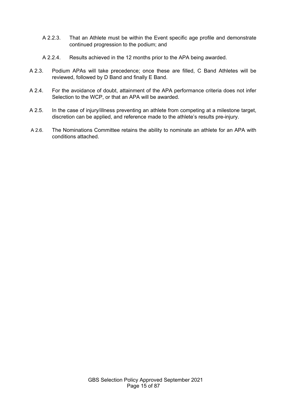- A 2.2.3. That an Athlete must be within the Event specific age profile and demonstrate continued progression to the podium; and
- A 2.2.4. Results achieved in the 12 months prior to the APA being awarded.
- A 2.3. Podium APAs will take precedence; once these are filled, C Band Athletes will be reviewed, followed by D Band and finally E Band.
- A 2.4. For the avoidance of doubt, attainment of the APA performance criteria does not infer Selection to the WCP, or that an APA will be awarded.
- A 2.5. In the case of injury/illness preventing an athlete from competing at a milestone target, discretion can be applied, and reference made to the athlete's results pre-injury.
- A 2.6. The Nominations Committee retains the ability to nominate an athlete for an APA with conditions attached.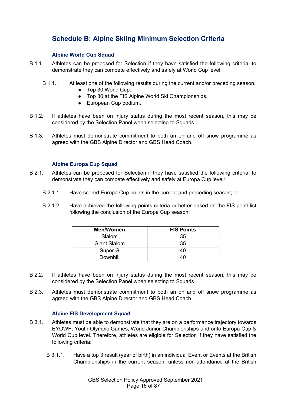# <span id="page-15-0"></span>**Schedule B: Alpine Skiing Minimum Selection Criteria**

## **Alpine World Cup Squad**

- B 1.1. Athletes can be proposed for Selection if they have satisfied the following criteria, to demonstrate they can compete effectively and safely at World Cup level:
	- B 1.1.1. At least one of the following results during the current and/or preceding season:
		- Top 30 World Cup.
		- Top 30 at the FIS Alpine World Ski Championships.
		- European Cup podium.
- B 1.2. If athletes have been on injury status during the most recent season, this may be considered by the Selection Panel when selecting to Squads.
- B 1.3. Athletes must demonstrate commitment to both an on and off snow programme as agreed with the GBS Alpine Director and GBS Head Coach.

## **Alpine Europa Cup Squad**

- B 2.1. Athletes can be proposed for Selection if they have satisfied the following criteria, to demonstrate they can compete effectively and safely at Europa Cup level:
	- B 2.1.1. Have scored Europa Cup points in the current and preceding season; or
	- B 2.1.2. Have achieved the following points criteria or better based on the FIS point list following the conclusion of the Europa Cup season:

| <b>Men/Women</b>    | <b>FIS Points</b> |
|---------------------|-------------------|
| Slalom              | 35                |
| <b>Giant Slalom</b> | 35                |
| Super G             |                   |
| Downhill            |                   |

- B 2.2. If athletes have been on injury status during the most recent season, this may be considered by the Selection Panel when selecting to Squads.
- B 2.3. Athletes must demonstrate commitment to both an on and off snow programme as agreed with the GBS Alpine Director and GBS Head Coach.

## **Alpine FIS Development Squad**

- B 3.1. Athletes must be able to demonstrate that they are on a performance trajectory towards EYOWF, Youth Olympic Games, World Junior Championships and onto Europa Cup & World Cup level. Therefore, athletes are eligible for Selection if they have satisfied the following criteria:
	- B 3.1.1. Have a top 3 result (year of birth) in an individual Event or Events at the British Championships in the current season; unless non-attendance at the British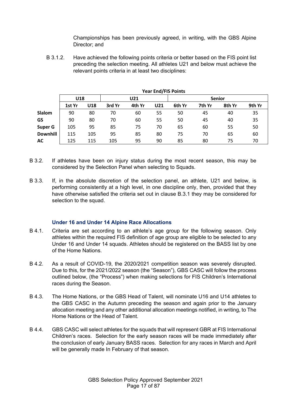Championships has been previously agreed, in writing, with the GBS Alpine Director; and

B 3.1.2. Have achieved the following points criteria or better based on the FIS point list preceding the selection meeting. All athletes U21 and below must achieve the relevant points criteria in at least two disciplines:

|                 |        | בטוווט ז כו ו נושט ופס |        |        |               |        |        |        |        |
|-----------------|--------|------------------------|--------|--------|---------------|--------|--------|--------|--------|
|                 | U18    |                        | U21    |        | <b>Senior</b> |        |        |        |        |
|                 | 1st Yr | U18                    | 3rd Yr | 4th Yr | U21           | 6th Yr | 7th Yr | 8th Yr | 9th Yr |
| <b>Slalom</b>   | 90     | 80                     | 70     | 60     | 55            | 50     | 45     | 40     | 35     |
| GS              | 90     | 80                     | 70     | 60     | 55            | 50     | 45     | 40     | 35     |
| <b>Super G</b>  | 105    | 95                     | 85     | 75     | 70            | 65     | 60     | 55     | 50     |
| <b>Downhill</b> | 115    | 105                    | 95     | 85     | 80            | 75     | 70     | 65     | 60     |
| АC              | 125    | 115                    | 105    | 95     | 90            | 85     | 80     | 75     | 70     |

**Year End/FIS Points**

- B 3.2. If athletes have been on injury status during the most recent season, this may be considered by the Selection Panel when selecting to Squads.
- B 3.3. If, in the absolute discretion of the selection panel, an athlete, U21 and below, is performing consistently at a high level, in one discipline only, then, provided that they have otherwise satisfied the criteria set out in clause B.3.1 they may be considered for selection to the squad.

## **Under 16 and Under 14 Alpine Race Allocations**

- B 4.1. Criteria are set according to an athlete's age group for the following season. Only athletes within the required FIS definition of age group are eligible to be selected to any Under 16 and Under 14 squads. Athletes should be registered on the BASS list by one of the Home Nations.
- B 4.2. As a result of COVID-19, the 2020/2021 competition season was severely disrupted. Due to this, for the 2021/2022 season (the "Season"), GBS CASC will follow the process outlined below, (the "Process") when making selections for FIS Children's International races during the Season.
- B 4.3. The Home Nations, or the GBS Head of Talent, will nominate U16 and U14 athletes to the GBS CASC in the Autumn preceding the season and again prior to the January allocation meeting and any other additional allocation meetings notified, in writing, to The Home Nations or the Head of Talent.
- B 4.4. GBS CASC will select athletes for the squads that will represent GBR at FIS International Children's races. Selection for the early season races will be made immediately after the conclusion of early January BASS races. Selection for any races in March and April will be generally made In February of that season.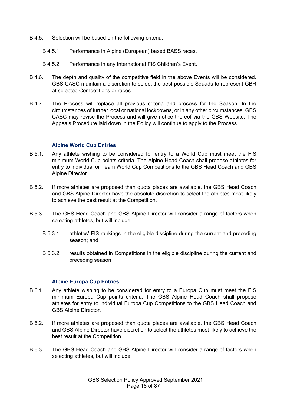- B 4.5. Selection will be based on the following criteria:
	- B 4.5.1. Performance in Alpine (European) based BASS races.
	- B 4.5.2. Performance in any International FIS Children's Event.
- B 4.6. The depth and quality of the competitive field in the above Events will be considered. GBS CASC maintain a discretion to select the best possible Squads to represent GBR at selected Competitions or races.
- B 4.7. The Process will replace all previous criteria and process for the Season. In the circumstances of further local or national lockdowns, or in any other circumstances, GBS CASC may revise the Process and will give notice thereof via the GBS Website. The Appeals Procedure laid down in the Policy will continue to apply to the Process.

#### **Alpine World Cup Entries**

- B 5.1. Any athlete wishing to be considered for entry to a World Cup must meet the FIS minimum World Cup points criteria. The Alpine Head Coach shall propose athletes for entry to individual or Team World Cup Competitions to the GBS Head Coach and GBS Alpine Director.
- B 5.2. If more athletes are proposed than quota places are available, the GBS Head Coach and GBS Alpine Director have the absolute discretion to select the athletes most likely to achieve the best result at the Competition.
- B 5.3. The GBS Head Coach and GBS Alpine Director will consider a range of factors when selecting athletes, but will include:
	- B 5.3.1. athletes' FIS rankings in the eligible discipline during the current and preceding season; and
	- B 5.3.2. results obtained in Competitions in the eligible discipline during the current and preceding season.

## **Alpine Europa Cup Entries**

- B 6.1. Any athlete wishing to be considered for entry to a Europa Cup must meet the FIS minimum Europa Cup points criteria. The GBS Alpine Head Coach shall propose athletes for entry to individual Europa Cup Competitions to the GBS Head Coach and GBS Alpine Director.
- B 6.2. If more athletes are proposed than quota places are available, the GBS Head Coach and GBS Alpine Director have discretion to select the athletes most likely to achieve the best result at the Competition.
- B 6.3. The GBS Head Coach and GBS Alpine Director will consider a range of factors when selecting athletes, but will include: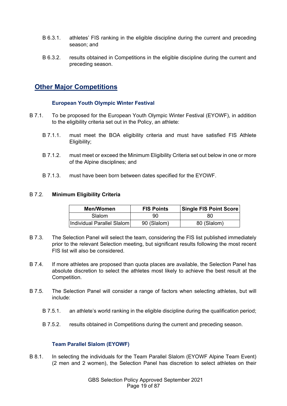- B 6.3.1. athletes' FIS ranking in the eligible discipline during the current and preceding season; and
- B 6.3.2. results obtained in Competitions in the eligible discipline during the current and preceding season.

# **Other Major Competitions**

## **European Youth Olympic Winter Festival**

- B 7.1. To be proposed for the European Youth Olympic Winter Festival (EYOWF), in addition to the eligibility criteria set out in the Policy, an athlete:
	- B 7.1.1. must meet the BOA eligibility criteria and must have satisfied FIS Athlete Eligibility;
	- B 7.1.2. must meet or exceed the Minimum Eligibility Criteria set out below in one or more of the Alpine disciplines; and
	- B 7.1.3. must have been born between dates specified for the EYOWF.

## B 7.2. **Minimum Eligibility Criteria**

| Men/Women                  | <b>FIS Points</b> | Single FIS Point Score |
|----------------------------|-------------------|------------------------|
| <b>Slalom</b>              | 90                | 80                     |
| Individual Parallel Slalom | 90 (Slalom)       | 80 (Slalom)            |

- B 7.3. The Selection Panel will select the team, considering the FIS list published immediately prior to the relevant Selection meeting, but significant results following the most recent FIS list will also be considered.
- B 7.4. If more athletes are proposed than quota places are available, the Selection Panel has absolute discretion to select the athletes most likely to achieve the best result at the Competition.
- B 7.5. The Selection Panel will consider a range of factors when selecting athletes, but will include:
	- B 7.5.1. an athlete's world ranking in the eligible discipline during the qualification period;
	- B 7.5.2. results obtained in Competitions during the current and preceding season.

## **Team Parallel Slalom (EYOWF)**

B 8.1. In selecting the individuals for the Team Parallel Slalom (EYOWF Alpine Team Event) (2 men and 2 women), the Selection Panel has discretion to select athletes on their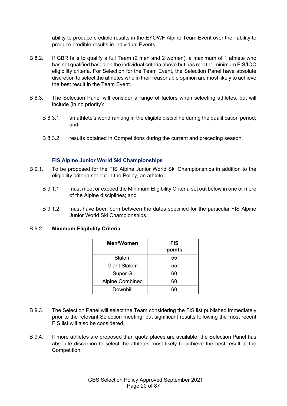ability to produce credible results in the EYOWF Alpine Team Event over their ability to produce credible results in individual Events.

- B 8.2. If GBR fails to qualify a full Team (2 men and 2 women), a maximum of 1 athlete who has not qualified based on the individual criteria above but has met the minimum FIS/IOC eligibility criteria. For Selection for the Team Event, the Selection Panel have absolute discretion to select the athletes who in their reasonable opinion are most likely to achieve the best result in the Team Event.
- B 8.3. The Selection Panel will consider a range of factors when selecting athletes, but will include (in no priority):
	- B 8.3.1. an athlete's world ranking in the eligible discipline during the qualification period; and
	- B 8.3.2. results obtained in Competitions during the current and preceding season.

#### **FIS Alpine Junior World Ski Championships**

- B 9.1. To be proposed for the FIS Alpine Junior World Ski Championships in addition to the eligibility criteria set out in the Policy, an athlete:
	- B 9.1.1. must meet or exceed the Minimum Eligibility Criteria set out below in one or more of the Alpine disciplines; and
	- B 9.1.2. must have been born between the dates specified for the particular FIS Alpine Junior World Ski Championships.

#### B 9.2. **Minimum Eligibility Criteria**

| Men/Women              | <b>FIS</b><br>points |
|------------------------|----------------------|
| Slalom                 | 55                   |
| <b>Giant Slalom</b>    | 55                   |
| Super G                | 60                   |
| <b>Alpine Combined</b> | 60                   |
| Downhill               |                      |

- B 9.3. The Selection Panel will select the Team considering the FIS list published immediately prior to the relevant Selection meeting, but significant results following the most recent FIS list will also be considered.
- B 9.4. If more athletes are proposed than quota places are available, the Selection Panel has absolute discretion to select the athletes most likely to achieve the best result at the Competition.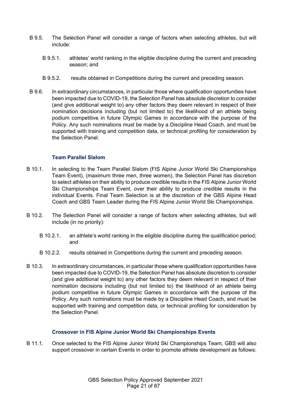- B 9.5. The Selection Panel will consider a range of factors when selecting athletes, but will include:
	- B 9.5.1. athletes' world ranking in the eligible discipline during the current and preceding season; and
	- B 9.5.2. results obtained in Competitions during the current and preceding season.
- B 9.6. In extraordinary circumstances, in particular those where qualification opportunities have been impacted due to COVID-19, the Selection Panel has absolute discretion to consider (and give additional weight to) any other factors they deem relevant in respect of their nomination decisions including (but not limited to) the likelihood of an athlete being podium competitive in future Olympic Games in accordance with the purpose of the Policy. Any such nominations must be made by a Discipline Head Coach, and must be supported with training and competition data, or technical profiling for consideration by the Selection Panel.

## **Team Parallel Slalom**

- B 10.1. In selecting to the Team Parallel Slalom (FIS Alpine Junior World Ski Championships Team Event), (maximum three men, three women), the Selection Panel has discretion to select athletes on their ability to produce credible results in the FIS Alpine Junior World Ski Championships Team Event, over their ability to produce credible results in the individual Events. Final Team Selection is at the discretion of the GBS Alpine Head Coach and GBS Team Leader during the FIS Alpine Junior World Ski Championships.
- B 10.2. The Selection Panel will consider a range of factors when selecting athletes, but will include (in no priority):
	- B 10.2.1. an athlete's world ranking in the eligible discipline during the qualification period; and
	- B 10.2.2. results obtained in Competitions during the current and preceding season.
- B 10.3. In extraordinary circumstances, in particular those where qualification opportunities have been impacted due to COVID-19, the Selection Panel has absolute discretion to consider (and give additional weight to) any other factors they deem relevant in respect of their nomination decisions including (but not limited to) the likelihood of an athlete being podium competitive in future Olympic Games in accordance with the purpose of the Policy. Any such nominations must be made by a Discipline Head Coach, and must be supported with training and competition data, or technical profiling for consideration by the Selection Panel.

## **Crossover in FIS Alpine Junior World Ski Championships Events**

B 11.1. Once selected to the FIS Alpine Junior World Ski Championships Team, GBS will also support crossover in certain Events in order to promote athlete development as follows: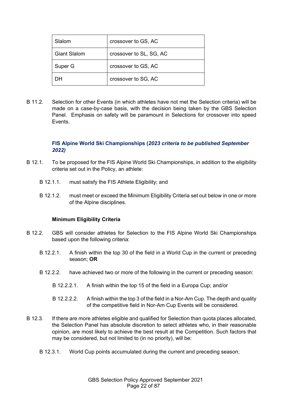| Slalom              | crossover to GS, AC     |
|---------------------|-------------------------|
| <b>Giant Slalom</b> | crossover to SL, SG, AC |
| Super G             | crossover to GS, AC     |
| nн                  | crossover to SG, AC     |

B 11.2. Selection for other Events (in which athletes have not met the Selection criteria) will be made on a case-by-case basis, with the decision being taken by the GBS Selection Panel. Emphasis on safety will be paramount in Selections for crossover into speed Events.

## **FIS Alpine World Ski Championships (***2023 criteria to be published September 2022)*

- B 12.1. To be proposed for the FIS Alpine World Ski Championships, in addition to the eligibility criteria set out in the Policy, an athlete:
	- B 12.1.1. must satisfy the FIS Athlete Eligibility; and
	- B 12.1.2. must meet or exceed the Minimum Eligibility Criteria set out below in one or more of the Alpine disciplines.

## **Minimum Eligibility Criteria**

- B 12.2. GBS will consider athletes for Selection to the FIS Alpine World Ski Championships based upon the following criteria:
	- B 12.2.1. A finish within the top 30 of the field in a World Cup in the current or preceding season; **OR**
	- B 12.2.2. have achieved two or more of the following in the current or preceding season:
		- B 12.2.2.1. A finish within the top 15 of the field in a Europa Cup; and/or
		- B 12.2.2.2. A finish within the top 3 of the field in a Nor-Am Cup. The depth and quality of the competitive field in Nor-Am Cup Events will be considered.
- B 12.3. If there are more athletes eligible and qualified for Selection than quota places allocated, the Selection Panel has absolute discretion to select athletes who, in their reasonable opinion, are most likely to achieve the best result at the Competition. Such factors that may be considered, but not limited to (in no priority), will be:
	- B 12.3.1. World Cup points accumulated during the current and preceding season;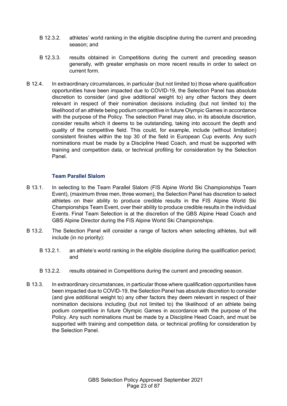- B 12.3.2. athletes' world ranking in the eligible discipline during the current and preceding season; and
- B 12.3.3. results obtained in Competitions during the current and preceding season generally, with greater emphasis on more recent results in order to select on current form.
- B 12.4. In extraordinary circumstances, in particular (but not limited to) those where qualification opportunities have been impacted due to COVID-19, the Selection Panel has absolute discretion to consider (and give additional weight to) any other factors they deem relevant in respect of their nomination decisions including (but not limited to) the likelihood of an athlete being podium competitive in future Olympic Games in accordance with the purpose of the Policy. The selection Panel may also, in its absolute discretion, consider results which it deems to be outstanding, taking into account the depth and quality of the competitive field. This could, for example, include (without limitation) consistent finishes within the top 30 of the field in European Cup events. Any such nominations must be made by a Discipline Head Coach, and must be supported with training and competition data, or technical profiling for consideration by the Selection Panel.

## **Team Parallel Slalom**

- B 13.1. In selecting to the Team Parallel Slalom (FIS Alpine World Ski Championships Team Event), (maximum three men, three women), the Selection Panel has discretion to select athletes on their ability to produce credible results in the FIS Alpine World Ski Championships Team Event, over their ability to produce credible results in the individual Events. Final Team Selection is at the discretion of the GBS Alpine Head Coach and GBS Alpine Director during the FIS Alpine World Ski Championships.
- B 13.2. The Selection Panel will consider a range of factors when selecting athletes, but will include (in no priority):
	- B 13.2.1. an athlete's world ranking in the eligible discipline during the qualification period; and
	- B 13.2.2. results obtained in Competitions during the current and preceding season.
- B 13.3. In extraordinary circumstances, in particular those where qualification opportunities have been impacted due to COVID-19, the Selection Panel has absolute discretion to consider (and give additional weight to) any other factors they deem relevant in respect of their nomination decisions including (but not limited to) the likelihood of an athlete being podium competitive in future Olympic Games in accordance with the purpose of the Policy. Any such nominations must be made by a Discipline Head Coach, and must be supported with training and competition data, or technical profiling for consideration by the Selection Panel.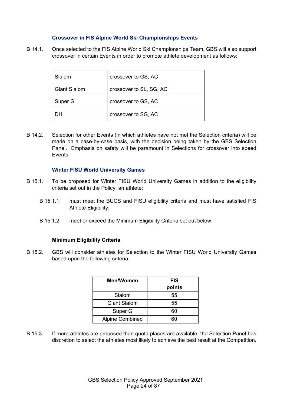## **Crossover in FIS Alpine World Ski Championships Events**

B 14.1. Once selected to the FIS Alpine World Ski Championships Team, GBS will also support crossover in certain Events in order to promote athlete development as follows:

| Slalom              | crossover to GS, AC     |
|---------------------|-------------------------|
| <b>Giant Slalom</b> | crossover to SL, SG, AC |
| Super G             | crossover to GS, AC     |
|                     | crossover to SG, AC     |

B 14.2. Selection for other Events (in which athletes have not met the Selection criteria) will be made on a case-by-case basis, with the decision being taken by the GBS Selection Panel. Emphasis on safety will be paramount in Selections for crossover into speed Events.

#### **Winter FISU World University Games**

- B 15.1. To be proposed for Winter FISU World University Games in addition to the eligibility criteria set out in the Policy, an athlete:
	- B 15.1.1. must meet the BUCS and FISU eligibility criteria and must have satisfied FIS Athlete Eligibility;
	- B 15.1.2. meet or exceed the Minimum Eligibility Criteria set out below.

#### **Minimum Eligibility Criteria**

B 15.2. GBS will consider athletes for Selection to the Winter FISU World University Games based upon the following criteria:

| Men/Women              | <b>FIS</b><br>points |
|------------------------|----------------------|
| Slalom                 | 55                   |
| <b>Giant Slalom</b>    | 55                   |
| Super G                | 60                   |
| <b>Alpine Combined</b> | הה                   |

B 15.3. If more athletes are proposed than quota places are available, the Selection Panel has discretion to select the athletes most likely to achieve the best result at the Competition.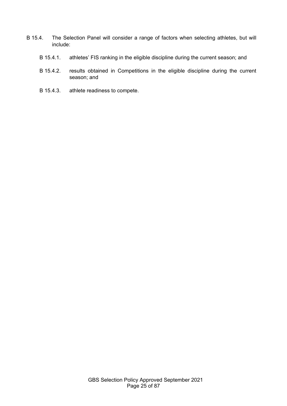- B 15.4. The Selection Panel will consider a range of factors when selecting athletes, but will include:
	- B 15.4.1. athletes' FIS ranking in the eligible discipline during the current season; and
	- B 15.4.2. results obtained in Competitions in the eligible discipline during the current season; and
	- B 15.4.3. athlete readiness to compete.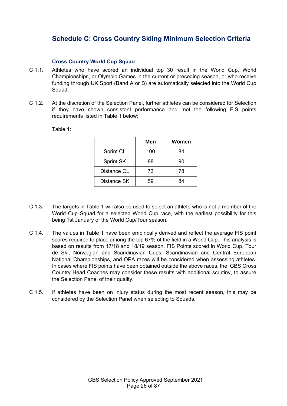# <span id="page-25-0"></span>**Schedule C: Cross Country Skiing Minimum Selection Criteria**

## **Cross Country World Cup Squad**

- C 1.1. Athletes who have scored an individual top 30 result in the World Cup, World Championships, or Olympic Games in the current or preceding season, or who receive funding through UK Sport (Band A or B) are automatically selected into the World Cup Squad.
- C 1.2. At the discretion of the Selection Panel, further athletes can be considered for Selection if they have shown consistent performance and met the following FIS points requirements listed in Table 1 below:

|                  | Men | Women |
|------------------|-----|-------|
| <b>Sprint CL</b> | 100 | 84    |
| <b>Sprint SK</b> | 88  | 90    |
| Distance CL      | 73  | 78    |
| Distance SK      | 59  | 84    |

Table 1:

- C 1.3. The targets in Table 1 will also be used to select an athlete who is not a member of the World Cup Squad for a selected World Cup race, with the earliest possibility for this being 1st January of the World Cup/Tour season.
- C 1.4. The values in Table 1 have been empirically derived and reflect the average FIS point scores required to place among the top 67% of the field in a World Cup. This analysis is based on results from 17/18 and 18/19 season. FIS Points scored in World Cup, Tour de Ski, Norwegian and Scandinavian Cups, Scandinavian and Central European National Championships, and OPA races will be considered when assessing athletes. In cases where FIS points have been obtained outside the above races, the GBS Cross Country Head Coaches may consider these results with additional scrutiny, to assure the Selection Panel of their quality.
- C 1.5. If athletes have been on injury status during the most recent season, this may be considered by the Selection Panel when selecting to Squads.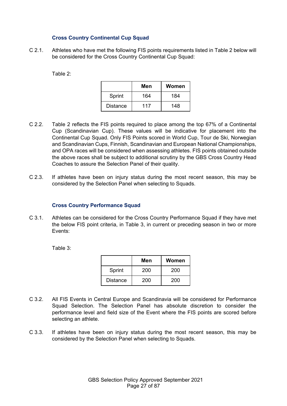## **Cross Country Continental Cup Squad**

C 2.1. Athletes who have met the following FIS points requirements listed in Table 2 below will be considered for the Cross Country Continental Cup Squad:

Table 2:

|                 | Men | Women |
|-----------------|-----|-------|
| Sprint          | 164 | 184   |
| <b>Distance</b> | 117 | 148   |

- C 2.2. Table 2 reflects the FIS points required to place among the top 67% of a Continental Cup (Scandinavian Cup). These values will be indicative for placement into the Continental Cup Squad. Only FIS Points scored in World Cup, Tour de Ski, Norwegian and Scandinavian Cups, Finnish, Scandinavian and European National Championships, and OPA races will be considered when assessing athletes. FIS points obtained outside the above races shall be subject to additional scrutiny by the GBS Cross Country Head Coaches to assure the Selection Panel of their quality.
- C 2.3. If athletes have been on injury status during the most recent season, this may be considered by the Selection Panel when selecting to Squads.

#### **Cross Country Performance Squad**

C 3.1. Athletes can be considered for the Cross Country Performance Squad if they have met the below FIS point criteria, in Table 3, in current or preceding season in two or more Events:

Table 3:

|                 | Men | Women |
|-----------------|-----|-------|
| Sprint          | 200 | 200   |
| <b>Distance</b> | 200 | 200   |

- C 3.2. All FIS Events in Central Europe and Scandinavia will be considered for Performance Squad Selection. The Selection Panel has absolute discretion to consider the performance level and field size of the Event where the FIS points are scored before selecting an athlete.
- C 3.3. If athletes have been on injury status during the most recent season, this may be considered by the Selection Panel when selecting to Squads.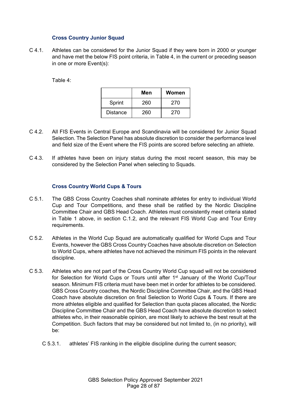## **Cross Country Junior Squad**

C 4.1. Athletes can be considered for the Junior Squad if they were born in 2000 or younger and have met the below FIS point criteria, in Table 4, in the current or preceding season in one or more Event(s):

Table 4:

|                 | Men | Women |
|-----------------|-----|-------|
| Sprint          | 260 | 270   |
| <b>Distance</b> | 260 | 270   |

- C 4.2. All FIS Events in Central Europe and Scandinavia will be considered for Junior Squad Selection. The Selection Panel has absolute discretion to consider the performance level and field size of the Event where the FIS points are scored before selecting an athlete.
- C 4.3. If athletes have been on injury status during the most recent season, this may be considered by the Selection Panel when selecting to Squads.

#### **Cross Country World Cups & Tours**

- C 5.1. The GBS Cross Country Coaches shall nominate athletes for entry to individual World Cup and Tour Competitions, and these shall be ratified by the Nordic Discipline Committee Chair and GBS Head Coach. Athletes must consistently meet criteria stated in Table 1 above, in section C.1.2, and the relevant FIS World Cup and Tour Entry requirements.
- C 5.2. Athletes in the World Cup Squad are automatically qualified for World Cups and Tour Events, however the GBS Cross Country Coaches have absolute discretion on Selection to World Cups, where athletes have not achieved the minimum FIS points in the relevant discipline.
- C 5.3. Athletes who are not part of the Cross Country World Cup squad will not be considered for Selection for World Cups or Tours until after 1<sup>st</sup> January of the World Cup/Tour season. Minimum FIS criteria must have been met in order for athletes to be considered. GBS Cross Country coaches, the Nordic Discipline Committee Chair, and the GBS Head Coach have absolute discretion on final Selection to World Cups & Tours. If there are more athletes eligible and qualified for Selection than quota places allocated, the Nordic Discipline Committee Chair and the GBS Head Coach have absolute discretion to select athletes who, in their reasonable opinion, are most likely to achieve the best result at the Competition. Such factors that may be considered but not limited to, (in no priority), will be:
	- C 5.3.1. athletes' FIS ranking in the eligible discipline during the current season;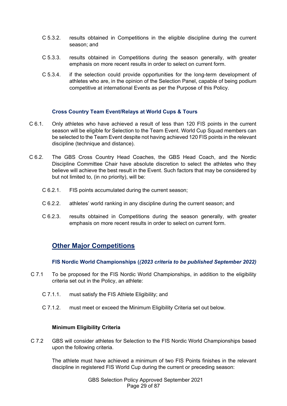- C 5.3.2. results obtained in Competitions in the eligible discipline during the current season; and
- C 5.3.3. results obtained in Competitions during the season generally, with greater emphasis on more recent results in order to select on current form.
- C 5.3.4. if the selection could provide opportunities for the long-term development of athletes who are, in the opinion of the Selection Panel, capable of being podium competitive at international Events as per the Purpose of this Policy.

## **Cross Country Team Event/Relays at World Cups & Tours**

- C 6.1. Only athletes who have achieved a result of less than 120 FIS points in the current season will be eligible for Selection to the Team Event. World Cup Squad members can be selected to the Team Event despite not having achieved 120 FIS points in the relevant discipline (technique and distance).
- C 6.2. The GBS Cross Country Head Coaches, the GBS Head Coach, and the Nordic Discipline Committee Chair have absolute discretion to select the athletes who they believe will achieve the best result in the Event. Such factors that may be considered by but not limited to, (in no priority), will be:
	- C 6.2.1. FIS points accumulated during the current season;
	- C 6.2.2. athletes' world ranking in any discipline during the current season; and
	- C 6.2.3. results obtained in Competitions during the season generally, with greater emphasis on more recent results in order to select on current form.

## **Other Major Competitions**

**FIS Nordic World Championships (***(2023 criteria to be published September 2022)*

- C 7.1 To be proposed for the FIS Nordic World Championships, in addition to the eligibility criteria set out in the Policy, an athlete:
	- C 7.1.1. must satisfy the FIS Athlete Eligibility; and
	- C 7.1.2. must meet or exceed the Minimum Eligibility Criteria set out below.

## **Minimum Eligibility Criteria**

C 7.2 GBS will consider athletes for Selection to the FIS Nordic World Championships based upon the following criteria.

The athlete must have achieved a minimum of two FIS Points finishes in the relevant discipline in registered FIS World Cup during the current or preceding season: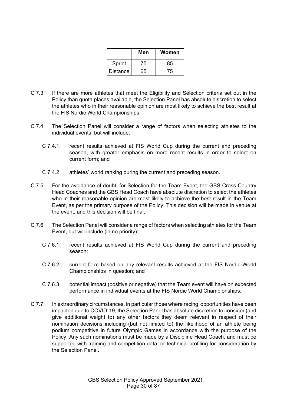|                 | Men | Women |
|-----------------|-----|-------|
| Sprint          | 75  | 85    |
| <b>Distance</b> | 65  | 75    |

- C 7.3 If there are more athletes that meet the Eligibility and Selection criteria set out in the Policy than quota places available, the Selection Panel has absolute discretion to select the athletes who in their reasonable opinion are most likely to achieve the best result at the FIS Nordic World Championships.
- C 7.4 The Selection Panel will consider a range of factors when selecting athletes to the individual events, but will include:
	- C 7.4.1. recent results achieved at FIS World Cup during the current and preceding season, with greater emphasis on more recent results in order to select on current form; and
	- C 7.4.2. athletes' world ranking during the current and preceding season.
- C 7.5 For the avoidance of doubt, for Selection for the Team Event, the GBS Cross Country Head Coaches and the GBS Head Coach have absolute discretion to select the athletes who in their reasonable opinion are most likely to achieve the best result in the Team Event, as per the primary purpose of the Policy. This decision will be made in venue at the event, and this decision will be final.
- C 7.6 The Selection Panel will consider a range of factors when selecting athletes for the Team Event, but will include (in no priority):
	- C 7.6.1. recent results achieved at FIS World Cup during the current and preceding season;
	- C 7.6.2. current form based on any relevant results achieved at the FIS Nordic World Championships in question; and
	- C 7.6.3. potential impact (positive or negative) that the Team event will have on expected performance in individual events at the FIS Nordic World Championships.
- C 7.7 In extraordinary circumstances, in particular those where racing opportunities have been impacted due to COVID-19, the Selection Panel has absolute discretion to consider (and give additional weight to) any other factors they deem relevant in respect of their nomination decisions including (but not limited to) the likelihood of an athlete being podium competitive in future Olympic Games in accordance with the purpose of the Policy. Any such nominations must be made by a Discipline Head Coach, and must be supported with training and competition data, or technical profiling for consideration by the Selection Panel.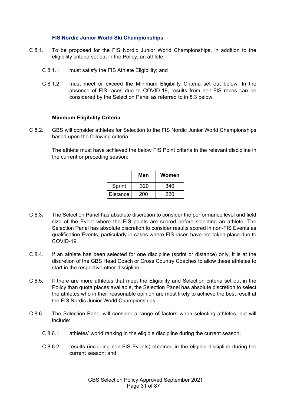#### **FIS Nordic Junior World Ski Championships**

- C 8.1. To be proposed for the FIS Nordic Junior World Championships, in addition to the eligibility criteria set out in the Policy, an athlete:
	- C 8.1.1. must satisfy the FIS Athlete Eligibility; and
	- C 8.1.2. must meet or exceed the Minimum Eligibility Criteria set out below. In the absence of FIS races due to COVID-19, results from non-FIS races can be considered by the Selection Panel as referred to in 8.3 below.

#### **Minimum Eligibility Criteria**

C 8.2. GBS will consider athletes for Selection to the FIS Nordic Junior World Championships based upon the following criteria.

> The athlete must have achieved the below FIS Point criteria in the relevant discipline in the current or preceding season:

|                 | Men | Women |
|-----------------|-----|-------|
| Sprint          | 320 | 340   |
| <b>Distance</b> | 200 | 220   |

- C 8.3. The Selection Panel has absolute discretion to consider the performance level and field size of the Event where the FIS points are scored before selecting an athlete. The Selection Panel has absolute discretion to consider results scored in non-FIS Events as qualification Events, particularly in cases where FIS races have not taken place due to COVID-19.
- C 8.4. If an athlete has been selected for one discipline (sprint or distance) only, it is at the discretion of the GBS Head Coach or Cross Country Coaches to allow these athletes to start in the respective other discipline.
- C 8.5. If there are more athletes that meet the Eligibility and Selection criteria set out in the Policy than quota places available, the Selection Panel has absolute discretion to select the athletes who in their reasonable opinion are most likely to achieve the best result at the FIS Nordic Junior World Championships.
- C 8.6. The Selection Panel will consider a range of factors when selecting athletes, but will include:
	- C 8.6.1. athletes' world ranking in the eligible discipline during the current season;
	- C 8.6.2. results (including non-FIS Events) obtained in the eligible discipline during the current season; and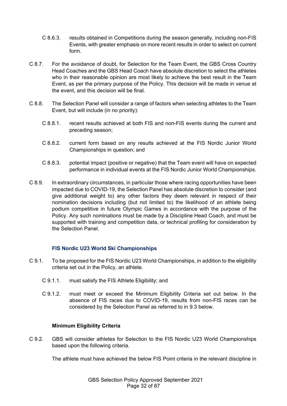- C 8.6.3. results obtained in Competitions during the season generally, including non-FIS Events, with greater emphasis on more recent results in order to select on current form.
- C 8.7. For the avoidance of doubt, for Selection for the Team Event, the GBS Cross Country Head Coaches and the GBS Head Coach have absolute discretion to select the athletes who in their reasonable opinion are most likely to achieve the best result in the Team Event, as per the primary purpose of the Policy. This decision will be made in venue at the event, and this decision will be final.
- C 8.8. The Selection Panel will consider a range of factors when selecting athletes to the Team Event, but will include (in no priority):
	- C 8.8.1. recent results achieved at both FIS and non-FIS events during the current and preceding season;
	- C 8.8.2. current form based on any results achieved at the FIS Nordic Junior World Championships in question; and
	- C 8.8.3. potential impact (positive or negative) that the Team event will have on expected performance in individual events at the FIS Nordic Junior World Championships.
- C 8.9. In extraordinary circumstances, in particular those where racing opportunities have been impacted due to COVID-19, the Selection Panel has absolute discretion to consider (and give additional weight to) any other factors they deem relevant in respect of their nomination decisions including (but not limited to) the likelihood of an athlete being podium competitive in future Olympic Games in accordance with the purpose of the Policy. Any such nominations must be made by a Discipline Head Coach, and must be supported with training and competition data, or technical profiling for consideration by the Selection Panel.

## **FIS Nordic U23 World Ski Championships**

- C 9.1. To be proposed for the FIS Nordic U23 World Championships, in addition to the eligibility criteria set out in the Policy, an athlete.
	- C 9.1.1. must satisfy the FIS Athlete Eligibility; and
	- C 9.1.2. must meet or exceed the Minimum Eligibility Criteria set out below. In the absence of FIS races due to COVID-19, results from non-FIS races can be considered by the Selection Panel as referred to in 9.3 below.

## **Minimum Eligibility Criteria**

C 9.2. GBS will consider athletes for Selection to the FIS Nordic U23 World Championships based upon the following criteria.

The athlete must have achieved the below FIS Point criteria in the relevant discipline in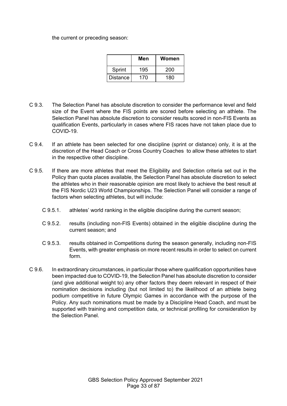the current or preceding season:

|                 | Men | Women |
|-----------------|-----|-------|
| Sprint          | 195 | 200   |
| <b>Distance</b> | 170 | 180   |

- C 9.3. The Selection Panel has absolute discretion to consider the performance level and field size of the Event where the FIS points are scored before selecting an athlete. The Selection Panel has absolute discretion to consider results scored in non-FIS Events as qualification Events, particularly in cases where FIS races have not taken place due to COVID-19.
- C 9.4. If an athlete has been selected for one discipline (sprint or distance) only, it is at the discretion of the Head Coach or Cross Country Coaches to allow these athletes to start in the respective other discipline.
- C 9.5. If there are more athletes that meet the Eligibility and Selection criteria set out in the Policy than quota places available, the Selection Panel has absolute discretion to select the athletes who in their reasonable opinion are most likely to achieve the best result at the FIS Nordic U23 World Championships. The Selection Panel will consider a range of factors when selecting athletes, but will include:
	- C 9.5.1. athletes' world ranking in the eligible discipline during the current season;
	- C 9.5.2. results (including non-FIS Events) obtained in the eligible discipline during the current season; and
	- C 9.5.3. results obtained in Competitions during the season generally, including non-FIS Events, with greater emphasis on more recent results in order to select on current form.
- C 9.6. In extraordinary circumstances, in particular those where qualification opportunities have been impacted due to COVID-19, the Selection Panel has absolute discretion to consider (and give additional weight to) any other factors they deem relevant in respect of their nomination decisions including (but not limited to) the likelihood of an athlete being podium competitive in future Olympic Games in accordance with the purpose of the Policy. Any such nominations must be made by a Discipline Head Coach, and must be supported with training and competition data, or technical profiling for consideration by the Selection Panel.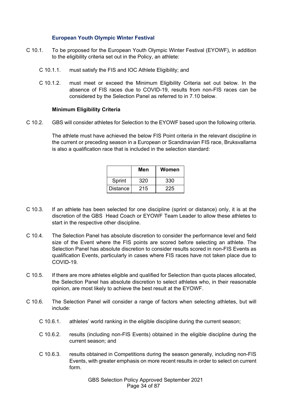#### **European Youth Olympic Winter Festival**

- C 10.1. To be proposed for the European Youth Olympic Winter Festival (EYOWF), in addition to the eligibility criteria set out in the Policy, an athlete:
	- C 10.1.1. must satisfy the FIS and IOC Athlete Eligibility; and
	- C 10.1.2. must meet or exceed the Minimum Eligibility Criteria set out below. In the absence of FIS races due to COVID-19, results from non-FIS races can be considered by the Selection Panel as referred to in 7.10 below.

#### **Minimum Eligibility Criteria**

C 10.2. GBS will consider athletes for Selection to the EYOWF based upon the following criteria.

The athlete must have achieved the below FIS Point criteria in the relevant discipline in the current or preceding season in a European or Scandinavian FIS race, Bruksvallarna is also a qualification race that is included in the selection standard:

|                 | Men | Women |
|-----------------|-----|-------|
| Sprint          | 320 | 330   |
| <b>Distance</b> | 215 | 225   |

- C 10.3. If an athlete has been selected for one discipline (sprint or distance) only, it is at the discretion of the GBS Head Coach or EYOWF Team Leader to allow these athletes to start in the respective other discipline.
- C 10.4. The Selection Panel has absolute discretion to consider the performance level and field size of the Event where the FIS points are scored before selecting an athlete. The Selection Panel has absolute discretion to consider results scored in non-FIS Events as qualification Events, particularly in cases where FIS races have not taken place due to COVID-19.
- C 10.5. If there are more athletes eligible and qualified for Selection than quota places allocated, the Selection Panel has absolute discretion to select athletes who, in their reasonable opinion, are most likely to achieve the best result at the EYOWF.
- C 10.6. The Selection Panel will consider a range of factors when selecting athletes, but will include:
	- C 10.6.1. athletes' world ranking in the eligible discipline during the current season;
	- C 10.6.2. results (including non-FIS Events) obtained in the eligible discipline during the current season; and
	- C 10.6.3. results obtained in Competitions during the season generally, including non-FIS Events, with greater emphasis on more recent results in order to select on current form.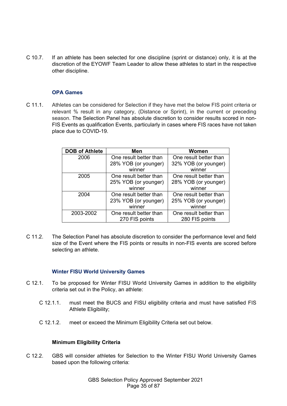C 10.7. If an athlete has been selected for one discipline (sprint or distance) only, it is at the discretion of the EYOWF Team Leader to allow these athletes to start in the respective other discipline.

## **OPA Games**

C 11.1. Athletes can be considered for Selection if they have met the below FIS point criteria or relevant % result in any category, (Distance or Sprint), in the current or preceding season. The Selection Panel has absolute discretion to consider results scored in non-FIS Events as qualification Events, particularly in cases where FIS races have not taken place due to COVID-19.

| <b>DOB of Athlete</b> | Men                    | Women                  |
|-----------------------|------------------------|------------------------|
| 2006                  | One result better than | One result better than |
|                       | 28% YOB (or younger)   | 32% YOB (or younger)   |
|                       | winner                 | winner                 |
| 2005                  | One result better than | One result better than |
|                       | 25% YOB (or younger)   | 28% YOB (or younger)   |
|                       | winner                 | winner                 |
| 2004                  | One result better than | One result better than |
|                       | 23% YOB (or younger)   | 25% YOB (or younger)   |
|                       | winner                 | winner                 |
| 2003-2002             | One result better than | One result better than |
|                       | 270 FIS points         | 280 FIS points         |

C 11.2. The Selection Panel has absolute discretion to consider the performance level and field size of the Event where the FIS points or results in non-FIS events are scored before selecting an athlete.

#### **Winter FISU World University Games**

- C 12.1. To be proposed for Winter FISU World University Games in addition to the eligibility criteria set out in the Policy, an athlete:
	- C 12.1.1. must meet the BUCS and FISU eligibility criteria and must have satisfied FIS Athlete Eligibility;
	- C 12.1.2. meet or exceed the Minimum Eligibility Criteria set out below.

#### **Minimum Eligibility Criteria**

C 12.2. GBS will consider athletes for Selection to the Winter FISU World University Games based upon the following criteria: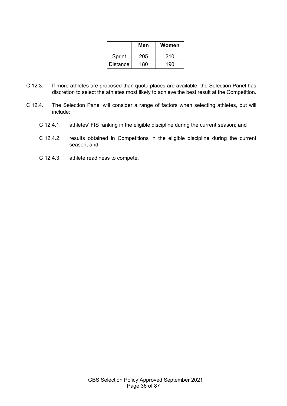|                 | Men | Women |
|-----------------|-----|-------|
| Sprint          | 205 | 210   |
| <b>Distance</b> | 180 | 190   |

- C 12.3. If more athletes are proposed than quota places are available, the Selection Panel has discretion to select the athletes most likely to achieve the best result at the Competition.
- C 12.4. The Selection Panel will consider a range of factors when selecting athletes, but will include:
	- C 12.4.1. athletes' FIS ranking in the eligible discipline during the current season; and
	- C 12.4.2. results obtained in Competitions in the eligible discipline during the current season; and
	- C 12.4.3. athlete readiness to compete.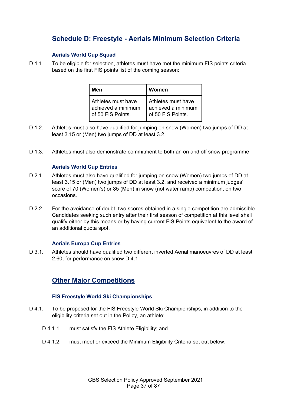# **Schedule D: Freestyle - Aerials Minimum Selection Criteria**

### **Aerials World Cup Squad**

D 1.1. To be eligible for selection, athletes must have met the minimum FIS points criteria based on the first FIS points list of the coming season:

| Men                 | Women              |
|---------------------|--------------------|
| Athletes must have  | Athletes must have |
| achieved a minimum  | achieved a minimum |
| I of 50 FIS Points. | of 50 FIS Points.  |

- D 1.2. Athletes must also have qualified for jumping on snow (Women) two jumps of DD at least 3.15 or (Men) two jumps of DD at least 3.2.
- D 1.3. Athletes must also demonstrate commitment to both an on and off snow programme

#### **Aerials World Cup Entries**

- D 2.1. Athletes must also have qualified for jumping on snow (Women) two jumps of DD at least 3.15 or (Men) two jumps of DD at least 3.2, and received a minimum judges' score of 70 (Women's) or 85 (Men) in snow (not water ramp) competition, on two occasions.
- D 2.2. For the avoidance of doubt, two scores obtained in a single competition are admissible. Candidates seeking such entry after their first season of competition at this level shall qualify either by this means or by having current FIS Points equivalent to the award of an additional quota spot.

#### **Aerials Europa Cup Entries**

D 3.1. Athletes should have qualified two different inverted Aerial manoeuvres of DD at least 2.60, for performance on snow D 4.1

## **Other Major Competitions**

#### **FIS Freestyle World Ski Championships**

- D 4.1. To be proposed for the FIS Freestyle World Ski Championships, in addition to the eligibility criteria set out in the Policy, an athlete:
	- D 4.1.1. must satisfy the FIS Athlete Eligibility; and
	- D 4.1.2. must meet or exceed the Minimum Eligibility Criteria set out below.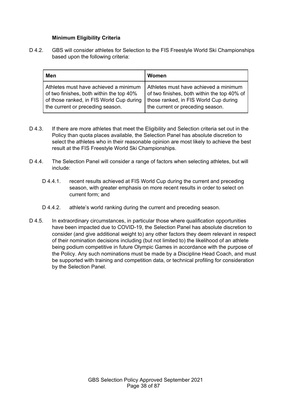#### **Minimum Eligibility Criteria**

D 4.2. GBS will consider athletes for Selection to the FIS Freestyle World Ski Championships based upon the following criteria:

| Men                                      | Women                                       |
|------------------------------------------|---------------------------------------------|
| Athletes must have achieved a minimum    | Athletes must have achieved a minimum       |
| of two finishes, both within the top 40% | of two finishes, both within the top 40% of |
| of those ranked, in FIS World Cup during | those ranked, in FIS World Cup during       |
| the current or preceding season.         | the current or preceding season.            |

- D 4.3. If there are more athletes that meet the Eligibility and Selection criteria set out in the Policy than quota places available, the Selection Panel has absolute discretion to select the athletes who in their reasonable opinion are most likely to achieve the best result at the FIS Freestyle World Ski Championships.
- D 4.4. The Selection Panel will consider a range of factors when selecting athletes, but will include:
	- D 4.4.1. recent results achieved at FIS World Cup during the current and preceding season, with greater emphasis on more recent results in order to select on current form; and
	- D 4.4.2. athlete's world ranking during the current and preceding season.
- D 4.5. In extraordinary circumstances, in particular those where qualification opportunities have been impacted due to COVID-19, the Selection Panel has absolute discretion to consider (and give additional weight to) any other factors they deem relevant in respect of their nomination decisions including (but not limited to) the likelihood of an athlete being podium competitive in future Olympic Games in accordance with the purpose of the Policy. Any such nominations must be made by a Discipline Head Coach, and must be supported with training and competition data, or technical profiling for consideration by the Selection Panel.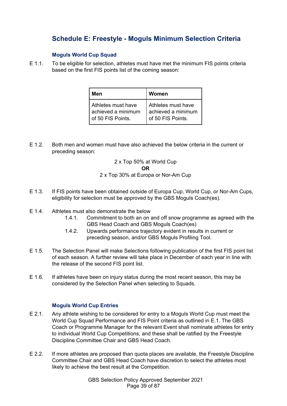# **Schedule E: Freestyle - Moguls Minimum Selection Criteria**

### **Moguls World Cup Squad**

E 1.1. To be eligible for selection, athletes must have met the minimum FIS points criteria based on the first FIS points list of the coming season:

| Men                  | Women              |
|----------------------|--------------------|
| I Athletes must have | Athletes must have |
| l achieved a minimum | achieved a minimum |
| of 50 FIS Points.    | of 50 FIS Points.  |

E 1.2. Both men and women must have also achieved the below criteria in the current or preceding season:

## 2 x Top 50% at World Cup

#### **OR**

### 2 x Top 30% at Europa or Nor-Am Cup

- E 1.3. If FIS points have been obtained outside of Europa Cup, World Cup, or Nor-Am Cups, eligibility for selection must be approved by the GBS Moguls Coach(es).
- E 1.4. Athletes must also demonstrate the below
	- 1.4.1. Commitment to both an on and off snow programme as agreed with the GBS Head Coach and GBS Moguls Coach(es)
	- 1.4.2. Upwards performance trajectory evident in results in current or preceding season, and/or GBS Moguls Profiling Tool.
- E 1.5. The Selection Panel will make Selections following publication of the first FIS point list of each season. A further review will take place in December of each year in line with the release of the second FIS point list.
- E 1.6. If athletes have been on injury status during the most recent season, this may be considered by the Selection Panel when selecting to Squads.

## **Moguls World Cup Entries**

- E 2.1. Any athlete wishing to be considered for entry to a Moguls World Cup must meet the World Cup Squad Performance and FIS Point criteria as outlined in E.1. The GBS Coach or Programme Manager for the relevant Event shall nominate athletes for entry to individual World Cup Competitions, and these shall be ratified by the Freestyle Discipline Committee Chair and GBS Head Coach.
- E 2.2. If more athletes are proposed than quota places are available, the Freestyle Discipline Committee Chair and GBS Head Coach have discretion to select the athletes most likely to achieve the best result at the Competition.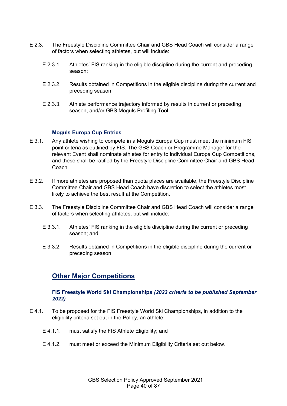- E 2.3. The Freestyle Discipline Committee Chair and GBS Head Coach will consider a range of factors when selecting athletes, but will include:
	- E 2.3.1. Athletes' FIS ranking in the eligible discipline during the current and preceding season;
	- E 2.3.2. Results obtained in Competitions in the eligible discipline during the current and preceding season
	- E 2.3.3. Athlete performance trajectory informed by results in current or preceding season, and/or GBS Moguls Profiling Tool.

#### **Moguls Europa Cup Entries**

- E 3.1. Any athlete wishing to compete in a Moguls Europa Cup must meet the minimum FIS point criteria as outlined by FIS. The GBS Coach or Programme Manager for the relevant Event shall nominate athletes for entry to individual Europa Cup Competitions, and these shall be ratified by the Freestyle Discipline Committee Chair and GBS Head Coach.
- E 3.2. If more athletes are proposed than quota places are available, the Freestyle Discipline Committee Chair and GBS Head Coach have discretion to select the athletes most likely to achieve the best result at the Competition.
- E 3.3. The Freestyle Discipline Committee Chair and GBS Head Coach will consider a range of factors when selecting athletes, but will include:
	- E 3.3.1. Athletes' FIS ranking in the eligible discipline during the current or preceding season; and
	- E 3.3.2. Results obtained in Competitions in the eligible discipline during the current or preceding season.

## **Other Major Competitions**

#### **FIS Freestyle World Ski Championships** *(2023 criteria to be published September 2022)*

- E 4.1. To be proposed for the FIS Freestyle World Ski Championships, in addition to the eligibility criteria set out in the Policy, an athlete:
	- E 4.1.1. must satisfy the FIS Athlete Eligibility; and
	- E 4.1.2. must meet or exceed the Minimum Eligibility Criteria set out below.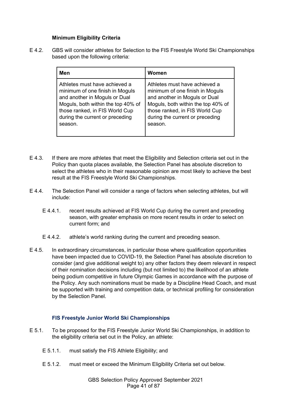#### **Minimum Eligibility Criteria**

E 4.2. GBS will consider athletes for Selection to the FIS Freestyle World Ski Championships based upon the following criteria:

| Men                                | Women                              |
|------------------------------------|------------------------------------|
| Athletes must have achieved a      | Athletes must have achieved a      |
| minimum of one finish in Moguls    | minimum of one finish in Moguls    |
| and another in Moguls or Dual      | and another in Moguls or Dual      |
| Moguls, both within the top 40% of | Moguls, both within the top 40% of |
| those ranked, in FIS World Cup     | those ranked, in FIS World Cup     |
| during the current or preceding    | during the current or preceding    |
| season.                            | season.                            |

- E 4.3. If there are more athletes that meet the Eligibility and Selection criteria set out in the Policy than quota places available, the Selection Panel has absolute discretion to select the athletes who in their reasonable opinion are most likely to achieve the best result at the FIS Freestyle World Ski Championships.
- E 4.4. The Selection Panel will consider a range of factors when selecting athletes, but will include:
	- E 4.4.1. recent results achieved at FIS World Cup during the current and preceding season, with greater emphasis on more recent results in order to select on current form; and
	- E 4.4.2. athlete's world ranking during the current and preceding season.
- E 4.5. In extraordinary circumstances, in particular those where qualification opportunities have been impacted due to COVID-19, the Selection Panel has absolute discretion to consider (and give additional weight to) any other factors they deem relevant in respect of their nomination decisions including (but not limited to) the likelihood of an athlete being podium competitive in future Olympic Games in accordance with the purpose of the Policy. Any such nominations must be made by a Discipline Head Coach, and must be supported with training and competition data, or technical profiling for consideration by the Selection Panel.

#### **FIS Freestyle Junior World Ski Championships**

- E 5.1. To be proposed for the FIS Freestyle Junior World Ski Championships, in addition to the eligibility criteria set out in the Policy, an athlete:
	- E 5.1.1. must satisfy the FIS Athlete Eligibility; and
	- E 5.1.2. must meet or exceed the Minimum Eligibility Criteria set out below.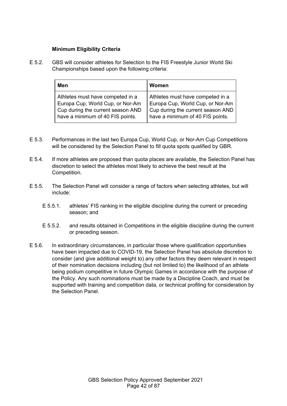### **Minimum Eligibility Criteria**

E 5.2. GBS will consider athletes for Selection to the FIS Freestyle Junior World Ski Championships based upon the following criteria:

| Men                               | Women                             |
|-----------------------------------|-----------------------------------|
| Athletes must have competed in a  | Athletes must have competed in a  |
| Europa Cup, World Cup, or Nor-Am  | Europa Cup, World Cup, or Nor-Am  |
| Cup during the current season AND | Cup during the current season AND |
| have a minimum of 40 FIS points.  | have a minimum of 40 FIS points.  |

- E 5.3. Performances in the last two Europa Cup, World Cup, or Nor-Am Cup Competitions will be considered by the Selection Panel to fill quota spots qualified by GBR.
- E 5.4. If more athletes are proposed than quota places are available, the Selection Panel has discretion to select the athletes most likely to achieve the best result at the Competition.
- E 5.5. The Selection Panel will consider a range of factors when selecting athletes, but will include:
	- E 5.5.1. athletes' FIS ranking in the eligible discipline during the current or preceding season; and
	- E 5.5.2. and results obtained in Competitions in the eligible discipline during the current or preceding season.
- E 5.6. In extraordinary circumstances, in particular those where qualification opportunities have been impacted due to COVID-19, the Selection Panel has absolute discretion to consider (and give additional weight to) any other factors they deem relevant in respect of their nomination decisions including (but not limited to) the likelihood of an athlete being podium competitive in future Olympic Games in accordance with the purpose of the Policy. Any such nominations must be made by a Discipline Coach, and must be supported with training and competition data, or technical profiling for consideration by the Selection Panel.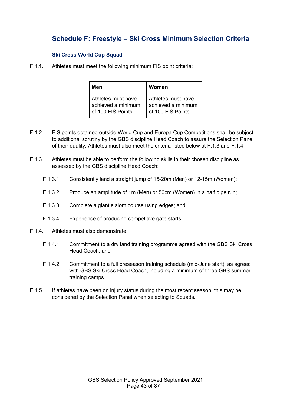# **Schedule F: Freestyle – Ski Cross Minimum Selection Criteria**

### **Ski Cross World Cup Squad**

F 1.1. Athletes must meet the following minimum FIS point criteria:

| Men                | Women              |
|--------------------|--------------------|
| Athletes must have | Athletes must have |
| achieved a minimum | achieved a minimum |
| of 100 FIS Points. | of 100 FIS Points. |

- F 1.2. FIS points obtained outside World Cup and Europa Cup Competitions shall be subject to additional scrutiny by the GBS discipline Head Coach to assure the Selection Panel of their quality. Athletes must also meet the criteria listed below at F.1.3 and F.1.4.
- F 1.3. Athletes must be able to perform the following skills in their chosen discipline as assessed by the GBS discipline Head Coach:
	- F 1.3.1. Consistently land a straight jump of 15-20m (Men) or 12-15m (Women);
	- F 1.3.2. Produce an amplitude of 1m (Men) or 50cm (Women) in a half pipe run;
	- F 1.3.3. Complete a giant slalom course using edges; and
	- F 1.3.4. Experience of producing competitive gate starts.
- F 1.4. Athletes must also demonstrate:
	- F 1.4.1. Commitment to a dry land training programme agreed with the GBS Ski Cross Head Coach; and
	- F 1.4.2. Commitment to a full preseason training schedule (mid-June start), as agreed with GBS Ski Cross Head Coach, including a minimum of three GBS summer training camps.
- F 1.5. If athletes have been on injury status during the most recent season, this may be considered by the Selection Panel when selecting to Squads.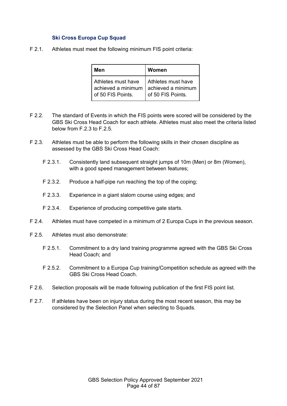#### **Ski Cross Europa Cup Squad**

F 2.1. Athletes must meet the following minimum FIS point criteria:

| Men                | Women              |
|--------------------|--------------------|
| Athletes must have | Athletes must have |
| achieved a minimum | achieved a minimum |
| of 50 FIS Points.  | of 50 FIS Points.  |

- F 2.2. The standard of Events in which the FIS points were scored will be considered by the GBS Ski Cross Head Coach for each athlete. Athletes must also meet the criteria listed below from F.2.3 to F.2.5.
- F 2.3. Athletes must be able to perform the following skills in their chosen discipline as assessed by the GBS Ski Cross Head Coach:
	- F 2.3.1. Consistently land subsequent straight jumps of 10m (Men) or 8m (Women), with a good speed management between features;
	- F 2.3.2. Produce a half-pipe run reaching the top of the coping;
	- F 2.3.3. Experience in a giant slalom course using edges; and
	- F 2.3.4. Experience of producing competitive gate starts.
- F 2.4. Athletes must have competed in a minimum of 2 Europa Cups in the previous season.
- F 2.5. Athletes must also demonstrate:
	- F 2.5.1. Commitment to a dry land training programme agreed with the GBS Ski Cross Head Coach; and
	- F 2.5.2. Commitment to a Europa Cup training/Competition schedule as agreed with the GBS Ski Cross Head Coach.
- F 2.6. Selection proposals will be made following publication of the first FIS point list.
- F 2.7. If athletes have been on injury status during the most recent season, this may be considered by the Selection Panel when selecting to Squads.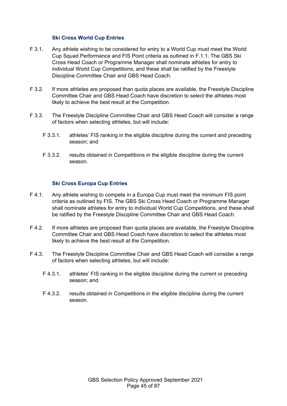#### **Ski Cross World Cup Entries**

- F 3.1. Any athlete wishing to be considered for entry to a World Cup must meet the World Cup Squad Performance and FIS Point criteria as outlined in F.1.1. The GBS Ski Cross Head Coach or Programme Manager shall nominate athletes for entry to individual World Cup Competitions, and these shall be ratified by the Freestyle Discipline Committee Chair and GBS Head Coach.
- F 3.2. If more athletes are proposed than quota places are available, the Freestyle Discipline Committee Chair and GBS Head Coach have discretion to select the athletes most likely to achieve the best result at the Competition.
- F 3.3. The Freestyle Discipline Committee Chair and GBS Head Coach will consider a range of factors when selecting athletes, but will include:
	- F 3.3.1. athletes' FIS ranking in the eligible discipline during the current and preceding season; and
	- F 3.3.2. results obtained in Competitions in the eligible discipline during the current season.

#### **Ski Cross Europa Cup Entries**

- F 4.1. Any athlete wishing to compete in a Europa Cup must meet the minimum FIS point criteria as outlined by FIS. The GBS Ski Cross Head Coach or Programme Manager shall nominate athletes for entry to individual World Cup Competitions, and these shall be ratified by the Freestyle Discipline Committee Chair and GBS Head Coach.
- F 4.2. If more athletes are proposed than quota places are available, the Freestyle Discipline Committee Chair and GBS Head Coach have discretion to select the athletes most likely to achieve the best result at the Competition.
- F 4.3. The Freestyle Discipline Committee Chair and GBS Head Coach will consider a range of factors when selecting athletes, but will include:
	- F 4.3.1. athletes' FIS ranking in the eligible discipline during the current or preceding season; and
	- F 4.3.2. results obtained in Competitions in the eligible discipline during the current season.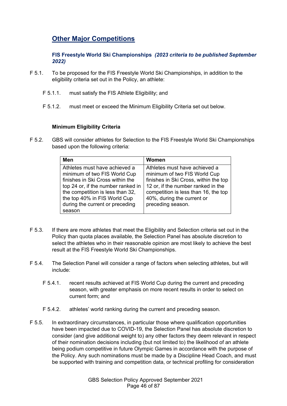## **Other Major Competitions**

**FIS Freestyle World Ski Championships** *(2023 criteria to be published September 2022)*

- F 5.1. To be proposed for the FIS Freestyle World Ski Championships, in addition to the eligibility criteria set out in the Policy, an athlete:
	- F 5.1.1. must satisfy the FIS Athlete Eligibility; and
	- F 5.1.2. must meet or exceed the Minimum Eligibility Criteria set out below.

#### **Minimum Eligibility Criteria**

F 5.2. GBS will consider athletes for Selection to the FIS Freestyle World Ski Championships based upon the following criteria:

| <b>Men</b>                                                                                                                                                                                                                                               | Women                                                                                                                                                                                                                                   |
|----------------------------------------------------------------------------------------------------------------------------------------------------------------------------------------------------------------------------------------------------------|-----------------------------------------------------------------------------------------------------------------------------------------------------------------------------------------------------------------------------------------|
| Athletes must have achieved a<br>minimum of two FIS World Cup<br>finishes in Ski Cross within the<br>top 24 or, if the number ranked in<br>the competition is less than 32,<br>the top 40% in FIS World Cup<br>during the current or preceding<br>season | Athletes must have achieved a<br>minimum of two FIS World Cup<br>finishes in Ski Cross, within the top<br>12 or, if the number ranked in the<br>competition is less than 16, the top<br>40%, during the current or<br>preceding season. |

- F 5.3. If there are more athletes that meet the Eligibility and Selection criteria set out in the Policy than quota places available, the Selection Panel has absolute discretion to select the athletes who in their reasonable opinion are most likely to achieve the best result at the FIS Freestyle World Ski Championships.
- F 5.4. The Selection Panel will consider a range of factors when selecting athletes, but will include:
	- F 5.4.1. recent results achieved at FIS World Cup during the current and preceding season, with greater emphasis on more recent results in order to select on current form; and
	- F 5.4.2. athletes' world ranking during the current and preceding season.
- F 5.5. In extraordinary circumstances, in particular those where qualification opportunities have been impacted due to COVID-19, the Selection Panel has absolute discretion to consider (and give additional weight to) any other factors they deem relevant in respect of their nomination decisions including (but not limited to) the likelihood of an athlete being podium competitive in future Olympic Games in accordance with the purpose of the Policy. Any such nominations must be made by a Discipline Head Coach, and must be supported with training and competition data, or technical profiling for consideration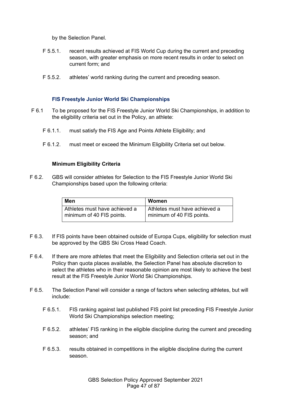by the Selection Panel.

- F 5.5.1. recent results achieved at FIS World Cup during the current and preceding season, with greater emphasis on more recent results in order to select on current form; and
- F 5.5.2. athletes' world ranking during the current and preceding season.

#### **FIS Freestyle Junior World Ski Championships**

- F 6.1 To be proposed for the FIS Freestyle Junior World Ski Championships, in addition to the eligibility criteria set out in the Policy, an athlete:
	- F 6.1.1. must satisfy the FIS Age and Points Athlete Eligibility; and
	- F 6.1.2. must meet or exceed the Minimum Eligibility Criteria set out below.

#### **Minimum Eligibility Criteria**

F 6.2. GBS will consider athletes for Selection to the FIS Freestyle Junior World Ski Championships based upon the following criteria:

| Men                           | Women                         |
|-------------------------------|-------------------------------|
| Athletes must have achieved a | Athletes must have achieved a |
| minimum of 40 FIS points.     | I minimum of 40 FIS points.   |

- F 6.3. If FIS points have been obtained outside of Europa Cups, eligibility for selection must be approved by the GBS Ski Cross Head Coach.
- F 6.4. If there are more athletes that meet the Eligibility and Selection criteria set out in the Policy than quota places available, the Selection Panel has absolute discretion to select the athletes who in their reasonable opinion are most likely to achieve the best result at the FIS Freestyle Junior World Ski Championships.
- F 6.5. The Selection Panel will consider a range of factors when selecting athletes, but will include:
	- F 6.5.1. FIS ranking against last published FIS point list preceding FIS Freestyle Junior World Ski Championships selection meeting;
	- F 6.5.2. athletes' FIS ranking in the eligible discipline during the current and preceding season; and
	- F 6.5.3. results obtained in competitions in the eligible discipline during the current season.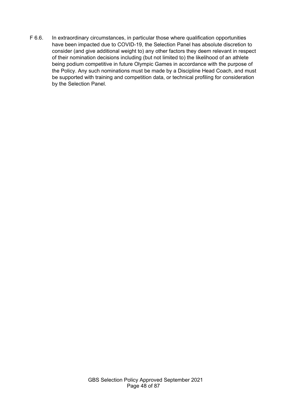F 6.6. In extraordinary circumstances, in particular those where qualification opportunities have been impacted due to COVID-19, the Selection Panel has absolute discretion to consider (and give additional weight to) any other factors they deem relevant in respect of their nomination decisions including (but not limited to) the likelihood of an athlete being podium competitive in future Olympic Games in accordance with the purpose of the Policy. Any such nominations must be made by a Discipline Head Coach, and must be supported with training and competition data, or technical profiling for consideration by the Selection Panel.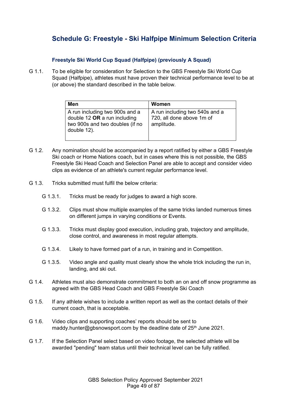# **Schedule G: Freestyle - Ski Halfpipe Minimum Selection Criteria**

## **Freestyle Ski World Cup Squad (Halfpipe) (previously A Squad)**

G 1.1. To be eligible for consideration for Selection to the GBS Freestyle Ski World Cup Squad (Halfpipe), athletes must have proven their technical performance level to be at (or above) the standard described in the table below.

| Men                                                                                                                | Women                                                                     |
|--------------------------------------------------------------------------------------------------------------------|---------------------------------------------------------------------------|
| A run including two 900s and a<br>double 12 $OR$ a run including<br>two 900s and two doubles (if no<br>double 12). | A run including two 540s and a<br>720, all done above 1m of<br>amplitude. |

- G 1.2. Any nomination should be accompanied by a report ratified by either a GBS Freestyle Ski coach or Home Nations coach, but in cases where this is not possible, the GBS Freestyle Ski Head Coach and Selection Panel are able to accept and consider video clips as evidence of an athlete's current regular performance level.
- G 1.3. Tricks submitted must fulfil the below criteria:
	- G 1.3.1. Tricks must be ready for judges to award a high score.
	- G 1.3.2. Clips must show multiple examples of the same tricks landed numerous times on different jumps in varying conditions or Events.
	- G 1.3.3. Tricks must display good execution, including grab, trajectory and amplitude, close control, and awareness in most regular attempts.
	- G 1.3.4. Likely to have formed part of a run, in training and in Competition.
	- G 1.3.5. Video angle and quality must clearly show the whole trick including the run in, landing, and ski out.
- G 1.4. Athletes must also demonstrate commitment to both an on and off snow programme as agreed with the GBS Head Coach and GBS Freestyle Ski Coach
- G 1.5. If any athlete wishes to include a written report as well as the contact details of their current coach, that is acceptable.
- G 1.6. Video clips and supporting coaches' reports should be sent to maddy.hunter@gbsnowsport.com by the deadline date of 25<sup>th</sup> June 2021.
- G 1.7. If the Selection Panel select based on video footage, the selected athlete will be awarded "pending" team status until their technical level can be fully ratified.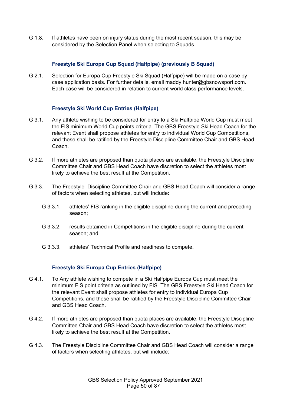G 1.8. If athletes have been on injury status during the most recent season, this may be considered by the Selection Panel when selecting to Squads.

### **Freestyle Ski Europa Cup Squad (Halfpipe) (previously B Squad)**

G 2.1. Selection for Europa Cup Freestyle Ski Squad (Halfpipe) will be made on a case by case application basis. For further details, email maddy.hunter@gbsnowsport.com. Each case will be considered in relation to current world class performance levels.

### **Freestyle Ski World Cup Entries (Halfpipe)**

- G 3.1. Any athlete wishing to be considered for entry to a Ski Halfpipe World Cup must meet the FIS minimum World Cup points criteria. The GBS Freestyle Ski Head Coach for the relevant Event shall propose athletes for entry to individual World Cup Competitions, and these shall be ratified by the Freestyle Discipline Committee Chair and GBS Head Coach.
- G 3.2. If more athletes are proposed than quota places are available, the Freestyle Discipline Committee Chair and GBS Head Coach have discretion to select the athletes most likely to achieve the best result at the Competition.
- G 3.3. The Freestyle Discipline Committee Chair and GBS Head Coach will consider a range of factors when selecting athletes, but will include:
	- G 3.3.1. athletes' FIS ranking in the eligible discipline during the current and preceding season;
	- G 3.3.2. results obtained in Competitions in the eligible discipline during the current season; and
	- G 3.3.3. athletes' Technical Profile and readiness to compete.

#### **Freestyle Ski Europa Cup Entries (Halfpipe)**

- G 4.1. To Any athlete wishing to compete in a Ski Halfpipe Europa Cup must meet the minimum FIS point criteria as outlined by FIS. The GBS Freestyle Ski Head Coach for the relevant Event shall propose athletes for entry to individual Europa Cup Competitions, and these shall be ratified by the Freestyle Discipline Committee Chair and GBS Head Coach.
- G 4.2. If more athletes are proposed than quota places are available, the Freestyle Discipline Committee Chair and GBS Head Coach have discretion to select the athletes most likely to achieve the best result at the Competition.
- G 4.3. The Freestyle Discipline Committee Chair and GBS Head Coach will consider a range of factors when selecting athletes, but will include: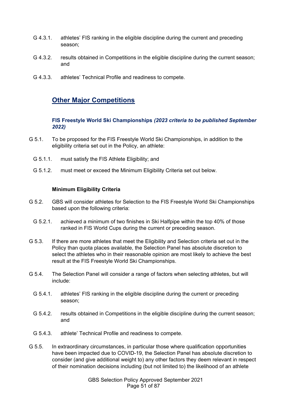- G 4.3.1. athletes' FIS ranking in the eligible discipline during the current and preceding season;
- G 4.3.2. results obtained in Competitions in the eligible discipline during the current season; and
- G 4.3.3. athletes' Technical Profile and readiness to compete.

## **Other Major Competitions**

**FIS Freestyle World Ski Championships** *(2023 criteria to be published September 2022)*

- G 5.1. To be proposed for the FIS Freestyle World Ski Championships, in addition to the eligibility criteria set out in the Policy, an athlete:
	- G 5.1.1. must satisfy the FIS Athlete Eligibility; and
	- G 5.1.2. must meet or exceed the Minimum Eligibility Criteria set out below.

#### **Minimum Eligibility Criteria**

- G 5.2. GBS will consider athletes for Selection to the FIS Freestyle World Ski Championships based upon the following criteria:
	- G 5.2.1. achieved a minimum of two finishes in Ski Halfpipe within the top 40% of those ranked in FIS World Cups during the current or preceding season.
- G 5.3. If there are more athletes that meet the Eligibility and Selection criteria set out in the Policy than quota places available, the Selection Panel has absolute discretion to select the athletes who in their reasonable opinion are most likely to achieve the best result at the FIS Freestyle World Ski Championships.
- G 5.4. The Selection Panel will consider a range of factors when selecting athletes, but will include:
	- G 5.4.1. athletes' FIS ranking in the eligible discipline during the current or preceding season;
	- G 5.4.2. results obtained in Competitions in the eligible discipline during the current season; and
	- G 5.4.3. athlete' Technical Profile and readiness to compete.
- G 5.5. In extraordinary circumstances, in particular those where qualification opportunities have been impacted due to COVID-19, the Selection Panel has absolute discretion to consider (and give additional weight to) any other factors they deem relevant in respect of their nomination decisions including (but not limited to) the likelihood of an athlete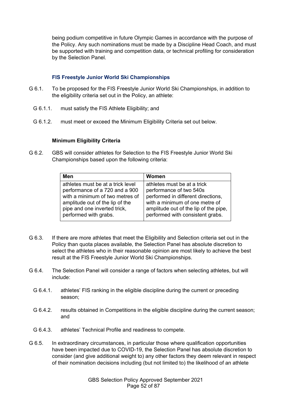being podium competitive in future Olympic Games in accordance with the purpose of the Policy. Any such nominations must be made by a Discipline Head Coach, and must be supported with training and competition data, or technical profiling for consideration by the Selection Panel.

### **FIS Freestyle Junior World Ski Championships**

- G 6.1. To be proposed for the FIS Freestyle Junior World Ski Championships, in addition to the eligibility criteria set out in the Policy, an athlete:
	- G 6.1.1. must satisfy the FIS Athlete Eligibility; and
	- G 6.1.2. must meet or exceed the Minimum Eligibility Criteria set out below.

### **Minimum Eligibility Criteria**

G 6.2. GBS will consider athletes for Selection to the FIS Freestyle Junior World Ski Championships based upon the following criteria:

| Men                               | Women                                 |
|-----------------------------------|---------------------------------------|
| athletes must be at a trick level | athletes must be at a trick           |
| performance of a 720 and a 900    | performance of two 540s               |
| with a minimum of two metres of   | performed in different directions,    |
| amplitude out of the lip of the   | with a minimum of one metre of        |
| pipe and one inverted trick,      | amplitude out of the lip of the pipe, |
| performed with grabs.             | performed with consistent grabs.      |

- G 6.3. If there are more athletes that meet the Eligibility and Selection criteria set out in the Policy than quota places available, the Selection Panel has absolute discretion to select the athletes who in their reasonable opinion are most likely to achieve the best result at the FIS Freestyle Junior World Ski Championships.
- G 6.4. The Selection Panel will consider a range of factors when selecting athletes, but will include:
	- G 6.4.1. athletes' FIS ranking in the eligible discipline during the current or preceding season;
	- G 6.4.2. results obtained in Competitions in the eligible discipline during the current season; and
	- G 6.4.3. athletes' Technical Profile and readiness to compete.
- G 6.5. In extraordinary circumstances, in particular those where qualification opportunities have been impacted due to COVID-19, the Selection Panel has absolute discretion to consider (and give additional weight to) any other factors they deem relevant in respect of their nomination decisions including (but not limited to) the likelihood of an athlete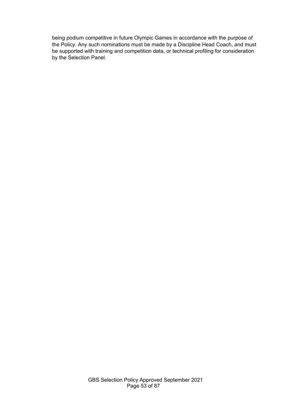being podium competitive in future Olympic Games in accordance with the purpose of the Policy. Any such nominations must be made by a Discipline Head Coach, and must be supported with training and competition data, or technical profiling for consideration by the Selection Panel.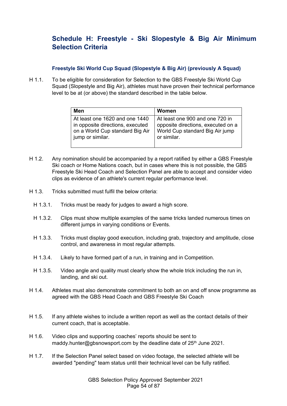## **Schedule H: Freestyle - Ski Slopestyle & Big Air Minimum Selection Criteria**

#### **Freestyle Ski World Cup Squad (Slopestyle & Big Air) (previously A Squad)**

H 1.1. To be eligible for consideration for Selection to the GBS Freestyle Ski World Cup Squad (Slopestyle and Big Air), athletes must have proven their technical performance level to be at (or above) the standard described in the table below.

| Men                              | Women                              |
|----------------------------------|------------------------------------|
| At least one 1620 and one 1440   | At least one 900 and one 720 in    |
| in opposite directions, executed | opposite directions, executed on a |
| on a World Cup standard Big Air  | World Cup standard Big Air jump    |
| jump or similar.                 | or similar.                        |

- H 1.2. Any nomination should be accompanied by a report ratified by either a GBS Freestyle Ski coach or Home Nations coach, but in cases where this is not possible, the GBS Freestyle Ski Head Coach and Selection Panel are able to accept and consider video clips as evidence of an athlete's current regular performance level.
- H 1.3. Tricks submitted must fulfil the below criteria:
	- H 1.3.1. Tricks must be ready for judges to award a high score.
	- H 1.3.2. Clips must show multiple examples of the same tricks landed numerous times on different jumps in varying conditions or Events.
	- H 1.3.3. Tricks must display good execution, including grab, trajectory and amplitude, close control, and awareness in most regular attempts.
	- H 1.3.4. Likely to have formed part of a run, in training and in Competition.
	- H 1.3.5. Video angle and quality must clearly show the whole trick including the run in, landing, and ski out.
- H 1.4. Athletes must also demonstrate commitment to both an on and off snow programme as agreed with the GBS Head Coach and GBS Freestyle Ski Coach
- H 1.5. If any athlete wishes to include a written report as well as the contact details of their current coach, that is acceptable.
- H 1.6. Video clips and supporting coaches' reports should be sent to maddy.hunter@gbsnowsport.com by the deadline date of  $25<sup>th</sup>$  June 2021.
- H 1.7. If the Selection Panel select based on video footage, the selected athlete will be awarded "pending" team status until their technical level can be fully ratified.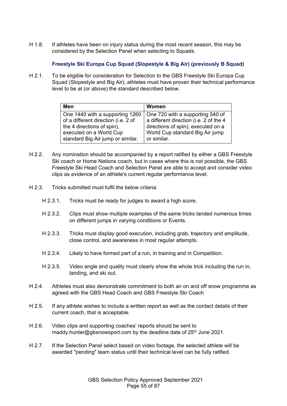H 1.8. If athletes have been on injury status during the most recent season, this may be considered by the Selection Panel when selecting to Squads.

## **Freestyle Ski Europa Cup Squad (Slopestyle & Big Air) (previously B Squad)**

H 2.1. To be eligible for consideration for Selection to the GBS Freestyle Ski Europa Cup Squad (Slopestyle and Big Air), athletes must have proven their technical performance level to be at (or above) the standard described below.

| Men                                 | Women                                  |
|-------------------------------------|----------------------------------------|
| One 1440 with a supporting 1260     | One 720 with a supporting 540 of       |
| of a different direction (i.e. 2 of | a different direction (i.e. 2 of the 4 |
| the 4 directions of spin),          | directions of spin), executed on a     |
| executed on a World Cup             | World Cup standard Big Air jump        |
| standard Big Air jump or similar.   | or similar.                            |

- H 2.2. Any nomination should be accompanied by a report ratified by either a GBS Freestyle Ski coach or Home Nations coach, but in cases where this is not possible, the GBS Freestyle Ski Head Coach and Selection Panel are able to accept and consider video clips as evidence of an athlete's current regular performance level.
- H 2.3. Tricks submitted must fulfil the below criteria:
	- H 2.3.1. Tricks must be ready for judges to award a high score.
	- H 2.3.2. Clips must show multiple examples of the same tricks landed numerous times on different jumps in varying conditions or Events.
	- H 2.3.3. Tricks must display good execution, including grab, trajectory and amplitude, close control, and awareness in most regular attempts.
	- H 2.3.4. Likely to have formed part of a run, in training and in Competition.
	- H 2.3.5. Video angle and quality must clearly show the whole trick including the run in, landing, and ski out.
- H 2.4. Athletes must also demonstrate commitment to both an on and off snow programme as agreed with the GBS Head Coach and GBS Freestyle Ski Coach
- H 2.5. If any athlete wishes to include a written report as well as the contact details of their current coach, that is acceptable.
- H 2.6. Video clips and supporting coaches' reports should be sent to maddy.hunter@gbsnowsport.com by the deadline date of  $25<sup>th</sup>$  June 2021.
- H 2.7. If the Selection Panel select based on video footage, the selected athlete will be awarded "pending" team status until their technical level can be fully ratified.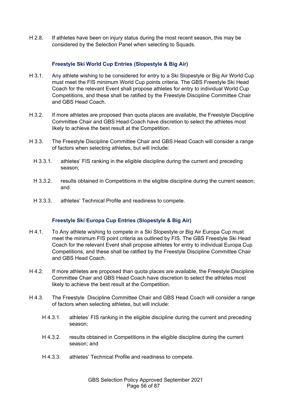H 2.8. If athletes have been on injury status during the most recent season, this may be considered by the Selection Panel when selecting to Squads.

### **Freestyle Ski World Cup Entries (Slopestyle & Big Air)**

- H 3.1. Any athlete wishing to be considered for entry to a Ski Slopestyle or Big Air World Cup must meet the FIS minimum World Cup points criteria. The GBS Freestyle Ski Head Coach for the relevant Event shall propose athletes for entry to individual World Cup Competitions, and these shall be ratified by the Freestyle Discipline Committee Chair and GBS Head Coach.
- H 3.2. If more athletes are proposed than quota places are available, the Freestyle Discipline Committee Chair and GBS Head Coach have discretion to select the athletes most likely to achieve the best result at the Competition.
- H 3.3. The Freestyle Discipline Committee Chair and GBS Head Coach will consider a range of factors when selecting athletes, but will include:
	- H 3.3.1. athletes' FIS ranking in the eligible discipline during the current and preceding season;
	- H 3.3.2. results obtained in Competitions in the eligible discipline during the current season; and
	- H 3.3.3. athletes' Technical Profile and readiness to compete.

#### **Freestyle Ski Europa Cup Entries (Slopestyle & Big Air)**

- H 4.1. To Any athlete wishing to compete in a Ski Slopestyle or Big Air Europa Cup must meet the minimum FIS point criteria as outlined by FIS. The GBS Freestyle Ski Head Coach for the relevant Event shall propose athletes for entry to individual Europa Cup Competitions, and these shall be ratified by the Freestyle Discipline Committee Chair and GBS Head Coach.
- H 4.2. If more athletes are proposed than quota places are available, the Freestyle Discipline Committee Chair and GBS Head Coach have discretion to select the athletes most likely to achieve the best result at the Competition.
- H 4.3. The Freestyle Discipline Committee Chair and GBS Head Coach will consider a range of factors when selecting athletes, but will include:
	- H 4.3.1. athletes' FIS ranking in the eligible discipline during the current and preceding season;
	- H 4.3.2. results obtained in Competitions in the eligible discipline during the current season; and
	- H 4.3.3. athletes' Technical Profile and readiness to compete.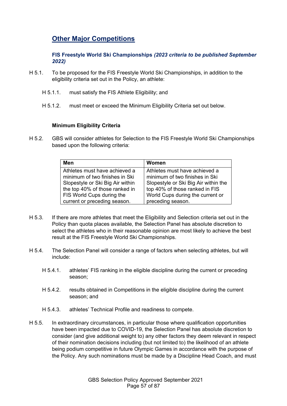## **Other Major Competitions**

**FIS Freestyle World Ski Championships** *(2023 criteria to be published September 2022)*

- H 5.1. To be proposed for the FIS Freestyle World Ski Championships, in addition to the eligibility criteria set out in the Policy, an athlete:
	- H 5.1.1. must satisfy the FIS Athlete Eligibility; and
	- H 5.1.2. must meet or exceed the Minimum Eligibility Criteria set out below.

#### **Minimum Eligibility Criteria**

H 5.2. GBS will consider athletes for Selection to the FIS Freestyle World Ski Championships based upon the following criteria:

| Men                              | Women                                |
|----------------------------------|--------------------------------------|
| Athletes must have achieved a    | Athletes must have achieved a        |
| minimum of two finishes in Ski   | minimum of two finishes in Ski       |
| Slopestyle or Ski Big Air within | Slopestyle or Ski Big Air within the |
| the top 40% of those ranked in   | top 40% of those ranked in FIS       |
| FIS World Cups during the        | World Cups during the current or     |
| current or preceding season.     | preceding season.                    |

- H 5.3. If there are more athletes that meet the Eligibility and Selection criteria set out in the Policy than quota places available, the Selection Panel has absolute discretion to select the athletes who in their reasonable opinion are most likely to achieve the best result at the FIS Freestyle World Ski Championships.
- H 5.4. The Selection Panel will consider a range of factors when selecting athletes, but will include:
	- H 5.4.1. athletes' FIS ranking in the eligible discipline during the current or preceding season;
	- H 5.4.2. results obtained in Competitions in the eligible discipline during the current season; and
	- H 5.4.3. athletes' Technical Profile and readiness to compete.
- H 5.5. In extraordinary circumstances, in particular those where qualification opportunities have been impacted due to COVID-19, the Selection Panel has absolute discretion to consider (and give additional weight to) any other factors they deem relevant in respect of their nomination decisions including (but not limited to) the likelihood of an athlete being podium competitive in future Olympic Games in accordance with the purpose of the Policy. Any such nominations must be made by a Discipline Head Coach, and must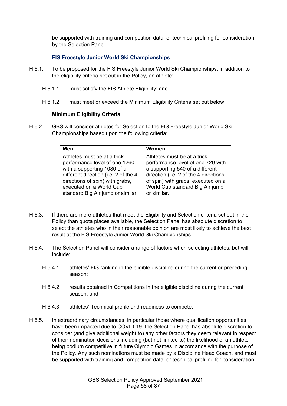be supported with training and competition data, or technical profiling for consideration by the Selection Panel.

### **FIS Freestyle Junior World Ski Championships**

- H 6.1. To be proposed for the FIS Freestyle Junior World Ski Championships, in addition to the eligibility criteria set out in the Policy, an athlete:
	- H 6.1.1. must satisfy the FIS Athlete Eligibility; and
	- H 6.1.2. must meet or exceed the Minimum Eligibility Criteria set out below.

### **Minimum Eligibility Criteria**

H 6.2. GBS will consider athletes for Selection to the FIS Freestyle Junior World Ski Championships based upon the following criteria:

| Men                                  | Women                                 |
|--------------------------------------|---------------------------------------|
| Athletes must be at a trick          | Athletes must be at a trick           |
| performance level of one 1260        | performance level of one 720 with     |
| with a supporting 1080 of a          | a supporting 540 of a different       |
| different direction (i.e. 2 of the 4 | direction (i.e. 2 of the 4 directions |
| directions of spin) with grabs,      | of spin) with grabs, executed on a    |
| executed on a World Cup              | World Cup standard Big Air jump       |
| standard Big Air jump or similar     | or similar.                           |

- H 6.3. If there are more athletes that meet the Eligibility and Selection criteria set out in the Policy than quota places available, the Selection Panel has absolute discretion to select the athletes who in their reasonable opinion are most likely to achieve the best result at the FIS Freestyle Junior World Ski Championships.
- H 6.4. The Selection Panel will consider a range of factors when selecting athletes, but will include:
	- H 6.4.1. athletes' FIS ranking in the eligible discipline during the current or preceding season;
	- H 6.4.2. results obtained in Competitions in the eligible discipline during the current season; and
	- H 6.4.3. athletes' Technical profile and readiness to compete.
- H 6.5. In extraordinary circumstances, in particular those where qualification opportunities have been impacted due to COVID-19, the Selection Panel has absolute discretion to consider (and give additional weight to) any other factors they deem relevant in respect of their nomination decisions including (but not limited to) the likelihood of an athlete being podium competitive in future Olympic Games in accordance with the purpose of the Policy. Any such nominations must be made by a Discipline Head Coach, and must be supported with training and competition data, or technical profiling for consideration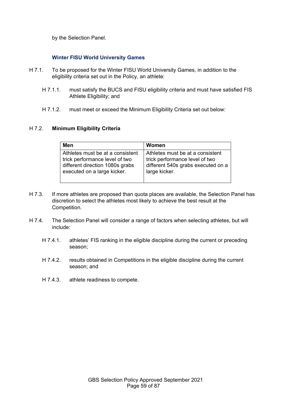by the Selection Panel.

## **Winter FISU World University Games**

- H 7.1. To be proposed for the Winter FISU World University Games, in addition to the eligibility criteria set out in the Policy, an athlete:
	- H 7.1.1. must satisfy the BUCS and FISU eligibility criteria and must have satisfied FIS Athlete Eligibility; and
	- H 7.1.2. must meet or exceed the Minimum Eligibility Criteria set out below:

#### H 7.2. **Minimum Eligibility Criteria**

| Men                              | Women                              |
|----------------------------------|------------------------------------|
| Athletes must be at a consistent | Athletes must be at a consistent   |
| trick performance level of two   | trick performance level of two     |
| different direction 1080s grabs  | different 540s grabs executed on a |
| executed on a large kicker.      | large kicker.                      |

- H 7.3. If more athletes are proposed than quota places are available, the Selection Panel has discretion to select the athletes most likely to achieve the best result at the Competition.
- H 7.4. The Selection Panel will consider a range of factors when selecting athletes, but will include:
	- H 7.4.1. athletes' FIS ranking in the eligible discipline during the current or preceding season;
	- H 7.4.2. results obtained in Competitions in the eligible discipline during the current season; and
	- H 7.4.3. athlete readiness to compete.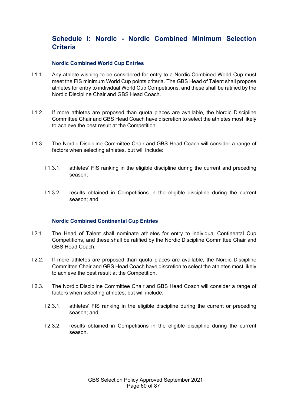## **Schedule I: Nordic - Nordic Combined Minimum Selection Criteria**

#### **Nordic Combined World Cup Entries**

- I 1.1. Any athlete wishing to be considered for entry to a Nordic Combined World Cup must meet the FIS minimum World Cup points criteria. The GBS Head of Talent shall propose athletes for entry to individual World Cup Competitions, and these shall be ratified by the Nordic Discipline Chair and GBS Head Coach.
- I 1.2. If more athletes are proposed than quota places are available, the Nordic Discipline Committee Chair and GBS Head Coach have discretion to select the athletes most likely to achieve the best result at the Competition.
- I 1.3. The Nordic Discipline Committee Chair and GBS Head Coach will consider a range of factors when selecting athletes, but will include:
	- I 1.3.1. athletes' FIS ranking in the eligible discipline during the current and preceding season;
	- I 1.3.2. results obtained in Competitions in the eligible discipline during the current season; and

#### **Nordic Combined Continental Cup Entries**

- I 2.1. The Head of Talent shall nominate athletes for entry to individual Continental Cup Competitions, and these shall be ratified by the Nordic Discipline Committee Chair and GBS Head Coach.
- I 2.2. If more athletes are proposed than quota places are available, the Nordic Discipline Committee Chair and GBS Head Coach have discretion to select the athletes most likely to achieve the best result at the Competition.
- I 2.3. The Nordic Discipline Committee Chair and GBS Head Coach will consider a range of factors when selecting athletes, but will include:
	- I 2.3.1. athletes' FIS ranking in the eligible discipline during the current or preceding season; and
	- I 2.3.2. results obtained in Competitions in the eligible discipline during the current season.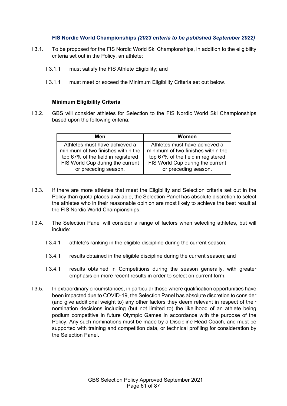### **FIS Nordic World Championships** *(2023 criteria to be published September 2022)*

- I 3.1. To be proposed for the FIS Nordic World Ski Championships, in addition to the eligibility criteria set out in the Policy, an athlete:
	- I 3.1.1 must satisfy the FIS Athlete Eligibility; and
	- I 3.1.1 must meet or exceed the Minimum Eligibility Criteria set out below.

#### **Minimum Eligibility Criteria**

I 3.2. GBS will consider athletes for Selection to the FIS Nordic World Ski Championships based upon the following criteria:

| Men                                | <b>Women</b>                       |
|------------------------------------|------------------------------------|
| Athletes must have achieved a      | Athletes must have achieved a      |
| minimum of two finishes within the | minimum of two finishes within the |
| top 67% of the field in registered | top 67% of the field in registered |
| FIS World Cup during the current   | FIS World Cup during the current   |
| or preceding season.               | or preceding season.               |
|                                    |                                    |

- I 3.3. If there are more athletes that meet the Eligibility and Selection criteria set out in the Policy than quota places available, the Selection Panel has absolute discretion to select the athletes who in their reasonable opinion are most likely to achieve the best result at the FIS Nordic World Championships.
- I 3.4. The Selection Panel will consider a range of factors when selecting athletes, but will include:
	- I 3.4.1 athlete's ranking in the eligible discipline during the current season;
	- I 3.4.1 results obtained in the eligible discipline during the current season; and
	- I 3.4.1 results obtained in Competitions during the season generally, with greater emphasis on more recent results in order to select on current form.
- I 3.5. In extraordinary circumstances, in particular those where qualification opportunities have been impacted due to COVID-19, the Selection Panel has absolute discretion to consider (and give additional weight to) any other factors they deem relevant in respect of their nomination decisions including (but not limited to) the likelihood of an athlete being podium competitive in future Olympic Games in accordance with the purpose of the Policy. Any such nominations must be made by a Discipline Head Coach, and must be supported with training and competition data, or technical profiling for consideration by the Selection Panel.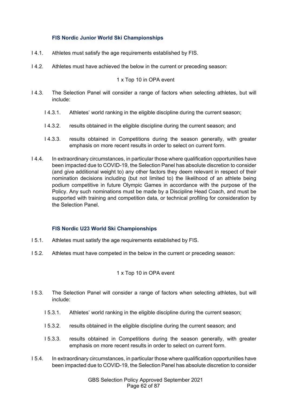### **FIS Nordic Junior World Ski Championships**

- I 4.1. Athletes must satisfy the age requirements established by FIS.
- I 4.2. Athletes must have achieved the below in the current or preceding season:

### 1 x Top 10 in OPA event

- I 4.3. The Selection Panel will consider a range of factors when selecting athletes, but will include:
	- I 4.3.1. Athletes' world ranking in the eligible discipline during the current season;
	- I 4.3.2. results obtained in the eligible discipline during the current season; and
	- I 4.3.3. results obtained in Competitions during the season generally, with greater emphasis on more recent results in order to select on current form.
- I 4.4. In extraordinary circumstances, in particular those where qualification opportunities have been impacted due to COVID-19, the Selection Panel has absolute discretion to consider (and give additional weight to) any other factors they deem relevant in respect of their nomination decisions including (but not limited to) the likelihood of an athlete being podium competitive in future Olympic Games in accordance with the purpose of the Policy. Any such nominations must be made by a Discipline Head Coach, and must be supported with training and competition data, or technical profiling for consideration by the Selection Panel.

#### **FIS Nordic U23 World Ski Championships**

- I 5.1. Athletes must satisfy the age requirements established by FIS.
- I 5.2. Athletes must have competed in the below in the current or preceding season:

## 1 x Top 10 in OPA event

- I 5.3. The Selection Panel will consider a range of factors when selecting athletes, but will include:
	- I 5.3.1. Athletes' world ranking in the eligible discipline during the current season;
	- I 5.3.2. results obtained in the eligible discipline during the current season; and
	- I 5.3.3. results obtained in Competitions during the season generally, with greater emphasis on more recent results in order to select on current form.
- I 5.4. In extraordinary circumstances, in particular those where qualification opportunities have been impacted due to COVID-19, the Selection Panel has absolute discretion to consider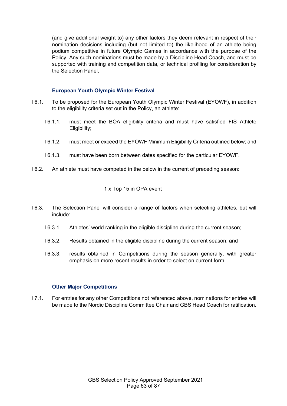(and give additional weight to) any other factors they deem relevant in respect of their nomination decisions including (but not limited to) the likelihood of an athlete being podium competitive in future Olympic Games in accordance with the purpose of the Policy. Any such nominations must be made by a Discipline Head Coach, and must be supported with training and competition data, or technical profiling for consideration by the Selection Panel.

### **European Youth Olympic Winter Festival**

- I 6.1. To be proposed for the European Youth Olympic Winter Festival (EYOWF), in addition to the eligibility criteria set out in the Policy, an athlete:
	- I 6.1.1. must meet the BOA eligibility criteria and must have satisfied FIS Athlete Eligibility;
	- I 6.1.2. must meet or exceed the EYOWF Minimum Eligibility Criteria outlined below; and
	- I 6.1.3. must have been born between dates specified for the particular EYOWF.
- I 6.2. An athlete must have competed in the below in the current of preceding season:

### 1 x Top 15 in OPA event

- I 6.3. The Selection Panel will consider a range of factors when selecting athletes, but will include:
	- I 6.3.1. Athletes' world ranking in the eligible discipline during the current season;
	- I 6.3.2. Results obtained in the eligible discipline during the current season; and
	- I 6.3.3. results obtained in Competitions during the season generally, with greater emphasis on more recent results in order to select on current form.

#### **Other Major Competitions**

I 7.1. For entries for any other Competitions not referenced above, nominations for entries will be made to the Nordic Discipline Committee Chair and GBS Head Coach for ratification.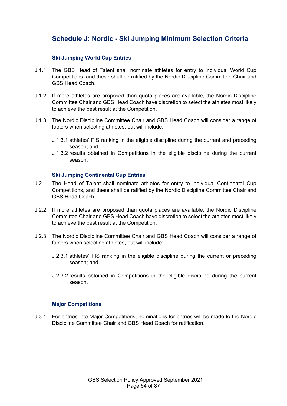## **Schedule J: Nordic - Ski Jumping Minimum Selection Criteria**

### **Ski Jumping World Cup Entries**

- J 1.1. The GBS Head of Talent shall nominate athletes for entry to individual World Cup Competitions, and these shall be ratified by the Nordic Discipline Committee Chair and GBS Head Coach.
- J 1.2 If more athletes are proposed than quota places are available, the Nordic Discipline Committee Chair and GBS Head Coach have discretion to select the athletes most likely to achieve the best result at the Competition.
- J 1.3 The Nordic Discipline Committee Chair and GBS Head Coach will consider a range of factors when selecting athletes, but will include:
	- J 1.3.1 athletes' FIS ranking in the eligible discipline during the current and preceding season; and
	- J 1.3.2 results obtained in Competitions in the eligible discipline during the current season.

#### **Ski Jumping Continental Cup Entries**

- J 2.1 The Head of Talent shall nominate athletes for entry to individual Continental Cup Competitions, and these shall be ratified by the Nordic Discipline Committee Chair and GBS Head Coach.
- J 2.2 If more athletes are proposed than quota places are available, the Nordic Discipline Committee Chair and GBS Head Coach have discretion to select the athletes most likely to achieve the best result at the Competition.
- J 2.3 The Nordic Discipline Committee Chair and GBS Head Coach will consider a range of factors when selecting athletes, but will include:
	- J 2.3.1 athletes' FIS ranking in the eligible discipline during the current or preceding season; and
	- J 2.3.2 results obtained in Competitions in the eligible discipline during the current season.

## **Major Competitions**

J 3.1 For entries into Major Competitions, nominations for entries will be made to the Nordic Discipline Committee Chair and GBS Head Coach for ratification.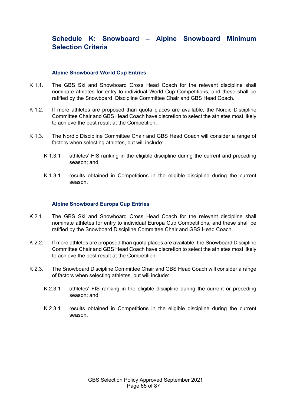## **Schedule K: Snowboard – Alpine Snowboard Minimum Selection Criteria**

#### **Alpine Snowboard World Cup Entries**

- K 1.1. The GBS Ski and Snowboard Cross Head Coach for the relevant discipline shall nominate athletes for entry to individual World Cup Competitions, and these shall be ratified by the Snowboard Discipline Committee Chair and GBS Head Coach.
- K 1.2. If more athletes are proposed than quota places are available, the Nordic Discipline Committee Chair and GBS Head Coach have discretion to select the athletes most likely to achieve the best result at the Competition.
- K 1.3. The Nordic Discipline Committee Chair and GBS Head Coach will consider a range of factors when selecting athletes, but will include:
	- K 1.3.1 athletes' FIS ranking in the eligible discipline during the current and preceding season; and
	- K 1.3.1 results obtained in Competitions in the eligible discipline during the current season.

#### **Alpine Snowboard Europa Cup Entries**

- K 2.1. The GBS Ski and Snowboard Cross Head Coach for the relevant discipline shall nominate athletes for entry to individual Europa Cup Competitions, and these shall be ratified by the Snowboard Discipline Committee Chair and GBS Head Coach.
- K 2.2. If more athletes are proposed than quota places are available, the Snowboard Discipline Committee Chair and GBS Head Coach have discretion to select the athletes most likely to achieve the best result at the Competition.
- K 2.3. The Snowboard Discipline Committee Chair and GBS Head Coach will consider a range of factors when selecting athletes, but will include:
	- K 2.3.1 athletes' FIS ranking in the eligible discipline during the current or preceding season; and
	- K 2.3.1 results obtained in Competitions in the eligible discipline during the current season.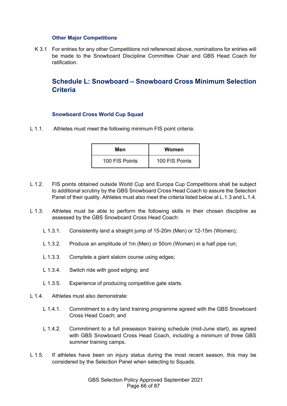#### **Other Major Competitions**

K 3.1 For entries for any other Competitions not referenced above, nominations for entries will be made to the Snowboard Discipline Committee Chair and GBS Head Coach for ratification.

## **Schedule L: Snowboard – Snowboard Cross Minimum Selection Criteria**

#### **Snowboard Cross World Cup Squad**

L 1.1. Athletes must meet the following minimum FIS point criteria:

| Men            | Women          |
|----------------|----------------|
| 100 FIS Points | 100 FIS Points |

- L 1.2. FIS points obtained outside World Cup and Europa Cup Competitions shall be subject to additional scrutiny by the GBS Snowboard Cross Head Coach to assure the Selection Panel of their quality. Athletes must also meet the criteria listed below at L.1.3 and L.1.4.
- L 1.3. Athletes must be able to perform the following skills in their chosen discipline as assessed by the GBS Snowboard Cross Head Coach:
	- L 1.3.1. Consistently land a straight jump of 15-20m (Men) or 12-15m (Women);
	- L 1.3.2. Produce an amplitude of 1m (Men) or 50cm (Women) in a half pipe run;
	- L 1.3.3. Complete a giant slalom course using edges;
	- L 1.3.4. Switch ride with good edging; and
	- L 1.3.5. Experience of producing competitive gate starts.
- L 1.4. Athletes must also demonstrate:
	- L 1.4.1. Commitment to a dry land training programme agreed with the GBS Snowboard Cross Head Coach; and
	- L 1.4.2. Commitment to a full preseason training schedule (mid-June start), as agreed with GBS Snowboard Cross Head Coach, including a minimum of three GBS summer training camps.
- L 1.5. If athletes have been on injury status during the most recent season, this may be considered by the Selection Panel when selecting to Squads.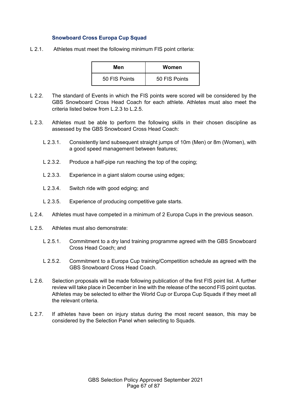#### **Snowboard Cross Europa Cup Squad**

L 2.1. Athletes must meet the following minimum FIS point criteria:

| Men           | Women         |
|---------------|---------------|
| 50 FIS Points | 50 FIS Points |

- L 2.2. The standard of Events in which the FIS points were scored will be considered by the GBS Snowboard Cross Head Coach for each athlete. Athletes must also meet the criteria listed below from L.2.3 to L.2.5.
- L 2.3. Athletes must be able to perform the following skills in their chosen discipline as assessed by the GBS Snowboard Cross Head Coach:
	- L 2.3.1. Consistently land subsequent straight jumps of 10m (Men) or 8m (Women), with a good speed management between features;
	- L 2.3.2. Produce a half-pipe run reaching the top of the coping;
	- L 2.3.3. Experience in a giant slalom course using edges;
	- L 2.3.4. Switch ride with good edging; and
	- L 2.3.5. Experience of producing competitive gate starts.
- L 2.4. Athletes must have competed in a minimum of 2 Europa Cups in the previous season.
- L 2.5. Athletes must also demonstrate:
	- L 2.5.1. Commitment to a dry land training programme agreed with the GBS Snowboard Cross Head Coach; and
	- L 2.5.2. Commitment to a Europa Cup training/Competition schedule as agreed with the GBS Snowboard Cross Head Coach.
- L 2.6. Selection proposals will be made following publication of the first FIS point list. A further review will take place in December in line with the release of the second FIS point quotas. Athletes may be selected to either the World Cup or Europa Cup Squads if they meet all the relevant criteria.
- L 2.7. If athletes have been on injury status during the most recent season, this may be considered by the Selection Panel when selecting to Squads.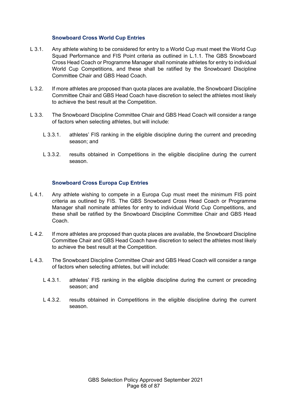#### **Snowboard Cross World Cup Entries**

- L 3.1. Any athlete wishing to be considered for entry to a World Cup must meet the World Cup Squad Performance and FIS Point criteria as outlined in L.1.1. The GBS Snowboard Cross Head Coach or Programme Manager shall nominate athletes for entry to individual World Cup Competitions, and these shall be ratified by the Snowboard Discipline Committee Chair and GBS Head Coach.
- L 3.2. If more athletes are proposed than quota places are available, the Snowboard Discipline Committee Chair and GBS Head Coach have discretion to select the athletes most likely to achieve the best result at the Competition.
- L 3.3. The Snowboard Discipline Committee Chair and GBS Head Coach will consider a range of factors when selecting athletes, but will include:
	- L 3.3.1. athletes' FIS ranking in the eligible discipline during the current and preceding season; and
	- L 3.3.2. results obtained in Competitions in the eligible discipline during the current season.

#### **Snowboard Cross Europa Cup Entries**

- L 4.1. Any athlete wishing to compete in a Europa Cup must meet the minimum FIS point criteria as outlined by FIS. The GBS Snowboard Cross Head Coach or Programme Manager shall nominate athletes for entry to individual World Cup Competitions, and these shall be ratified by the Snowboard Discipline Committee Chair and GBS Head Coach.
- L 4.2. If more athletes are proposed than quota places are available, the Snowboard Discipline Committee Chair and GBS Head Coach have discretion to select the athletes most likely to achieve the best result at the Competition.
- L 4.3. The Snowboard Discipline Committee Chair and GBS Head Coach will consider a range of factors when selecting athletes, but will include:
	- L 4.3.1. athletes' FIS ranking in the eligible discipline during the current or preceding season; and
	- L 4.3.2. results obtained in Competitions in the eligible discipline during the current season.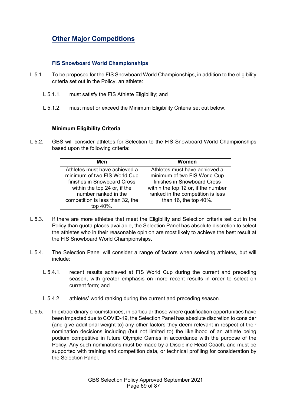# **Other Major Competitions**

### **FIS Snowboard World Championships**

- L 5.1. To be proposed for the FIS Snowboard World Championships, in addition to the eligibility criteria set out in the Policy, an athlete:
	- L 5.1.1. must satisfy the FIS Athlete Eligibility; and
	- L 5.1.2. must meet or exceed the Minimum Eligibility Criteria set out below.

### **Minimum Eligibility Criteria**

L 5.2. GBS will consider athletes for Selection to the FIS Snowboard World Championships based upon the following criteria:

| Men                                                           | Women                                                         |
|---------------------------------------------------------------|---------------------------------------------------------------|
| Athletes must have achieved a<br>minimum of two FIS World Cup | Athletes must have achieved a<br>minimum of two FIS World Cup |
| finishes in Snowboard Cross                                   | finishes in Snowboard Cross                                   |
| within the top 24 or, if the                                  | within the top 12 or, if the number                           |
| number ranked in the                                          | ranked in the competition is less                             |
| competition is less than 32, the<br>top 40%.                  | than 16, the top 40%.                                         |
|                                                               |                                                               |

- L 5.3. If there are more athletes that meet the Eligibility and Selection criteria set out in the Policy than quota places available, the Selection Panel has absolute discretion to select the athletes who in their reasonable opinion are most likely to achieve the best result at the FIS Snowboard World Championships.
- L 5.4. The Selection Panel will consider a range of factors when selecting athletes, but will include:
	- L 5.4.1. recent results achieved at FIS World Cup during the current and preceding season, with greater emphasis on more recent results in order to select on current form; and
	- L 5.4.2. athletes' world ranking during the current and preceding season.
- L 5.5. In extraordinary circumstances, in particular those where qualification opportunities have been impacted due to COVID-19, the Selection Panel has absolute discretion to consider (and give additional weight to) any other factors they deem relevant in respect of their nomination decisions including (but not limited to) the likelihood of an athlete being podium competitive in future Olympic Games in accordance with the purpose of the Policy. Any such nominations must be made by a Discipline Head Coach, and must be supported with training and competition data, or technical profiling for consideration by the Selection Panel.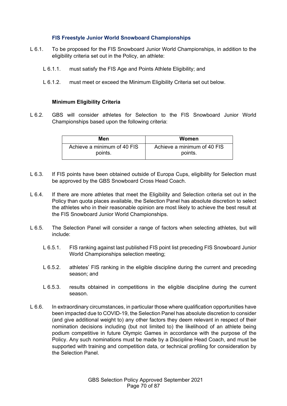#### **FIS Freestyle Junior World Snowboard Championships**

- L 6.1. To be proposed for the FIS Snowboard Junior World Championships, in addition to the eligibility criteria set out in the Policy, an athlete:
	- L 6.1.1. must satisfy the FIS Age and Points Athlete Eligibility; and
	- L 6.1.2. must meet or exceed the Minimum Eligibility Criteria set out below.

### **Minimum Eligibility Criteria**

L 6.2. GBS will consider athletes for Selection to the FIS Snowboard Junior World Championships based upon the following criteria:

| Men                         | Women                       |
|-----------------------------|-----------------------------|
| Achieve a minimum of 40 FIS | Achieve a minimum of 40 FIS |
| points.                     | points.                     |

- L 6.3. If FIS points have been obtained outside of Europa Cups, eligibility for Selection must be approved by the GBS Snowboard Cross Head Coach.
- L 6.4. If there are more athletes that meet the Eligibility and Selection criteria set out in the Policy than quota places available, the Selection Panel has absolute discretion to select the athletes who in their reasonable opinion are most likely to achieve the best result at the FIS Snowboard Junior World Championships.
- L 6.5. The Selection Panel will consider a range of factors when selecting athletes, but will include:
	- L 6.5.1. FIS ranking against last published FIS point list preceding FIS Snowboard Junior World Championships selection meeting;
	- L 6.5.2. athletes' FIS ranking in the eligible discipline during the current and preceding season; and
	- L 6.5.3. results obtained in competitions in the eligible discipline during the current season.
- L 6.6. In extraordinary circumstances, in particular those where qualification opportunities have been impacted due to COVID-19, the Selection Panel has absolute discretion to consider (and give additional weight to) any other factors they deem relevant in respect of their nomination decisions including (but not limited to) the likelihood of an athlete being podium competitive in future Olympic Games in accordance with the purpose of the Policy. Any such nominations must be made by a Discipline Head Coach, and must be supported with training and competition data, or technical profiling for consideration by the Selection Panel.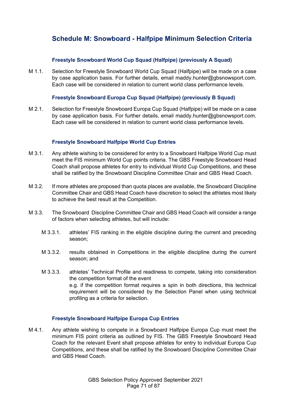## **Schedule M: Snowboard - Halfpipe Minimum Selection Criteria**

### **Freestyle Snowboard World Cup Squad (Halfpipe) (previously A Squad)**

M 1.1. Selection for Freestyle Snowboard World Cup Squad (Halfpipe) will be made on a case by case application basis. For further details, email maddy.hunter@gbsnowsport.com. Each case will be considered in relation to current world class performance levels.

### **Freestyle Snowboard Europa Cup Squad (Halfpipe) (previously B Squad)**

M 2.1. Selection for Freestyle Snowboard Europa Cup Squad (Halfpipe) will be made on a case by case application basis. For further details, email maddy.hunter@gbsnowsport.com. Each case will be considered in relation to current world class performance levels.

#### **Freestyle Snowboard Halfpipe World Cup Entries**

- M 3.1. Any athlete wishing to be considered for entry to a Snowboard Halfpipe World Cup must meet the FIS minimum World Cup points criteria. The GBS Freestyle Snowboard Head Coach shall propose athletes for entry to individual World Cup Competitions, and these shall be ratified by the Snowboard Discipline Committee Chair and GBS Head Coach.
- M 3.2. If more athletes are proposed than quota places are available, the Snowboard Discipline Committee Chair and GBS Head Coach have discretion to select the athletes most likely to achieve the best result at the Competition.
- M 3.3. The Snowboard Discipline Committee Chair and GBS Head Coach will consider a range of factors when selecting athletes, but will include:
	- M 3.3.1. athletes' FIS ranking in the eligible discipline during the current and preceding season;
	- M 3.3.2. results obtained in Competitions in the eligible discipline during the current season; and
	- M 3.3.3. athletes' Technical Profile and readiness to compete, taking into consideration the competition format of the event e.g. if the competition format requires a spin in both directions, this technical requirement will be considered by the Selection Panel when using technical profiling as a criteria for selection.

#### **Freestyle Snowboard Halfpipe Europa Cup Entries**

M 4.1. Any athlete wishing to compete in a Snowboard Halfpipe Europa Cup must meet the minimum FIS point criteria as outlined by FIS. The GBS Freestyle Snowboard Head Coach for the relevant Event shall propose athletes for entry to individual Europa Cup Competitions, and these shall be ratified by the Snowboard Discipline Committee Chair and GBS Head Coach.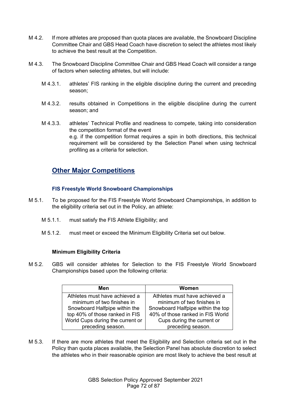- M 4.2. If more athletes are proposed than quota places are available, the Snowboard Discipline Committee Chair and GBS Head Coach have discretion to select the athletes most likely to achieve the best result at the Competition.
- M 4.3. The Snowboard Discipline Committee Chair and GBS Head Coach will consider a range of factors when selecting athletes, but will include:
	- M 4.3.1. athletes' FIS ranking in the eligible discipline during the current and preceding season;
	- M 4.3.2. results obtained in Competitions in the eligible discipline during the current season; and
	- M 4.3.3. athletes' Technical Profile and readiness to compete, taking into consideration the competition format of the event e.g. if the competition format requires a spin in both directions, this technical requirement will be considered by the Selection Panel when using technical profiling as a criteria for selection.

## **Other Major Competitions**

## **FIS Freestyle World Snowboard Championships**

- M 5.1. To be proposed for the FIS Freestyle World Snowboard Championships, in addition to the eligibility criteria set out in the Policy, an athlete:
	- M 5.1.1. must satisfy the FIS Athlete Eligibility; and
	- M 5.1.2. must meet or exceed the Minimum Eligibility Criteria set out below.

## **Minimum Eligibility Criteria**

M 5.2. GBS will consider athletes for Selection to the FIS Freestyle World Snowboard Championships based upon the following criteria:

| Men                              | Women                             |
|----------------------------------|-----------------------------------|
| Athletes must have achieved a    | Athletes must have achieved a     |
| minimum of two finishes in       | minimum of two finishes in        |
| Snowboard Halfpipe within the    | Snowboard Halfpipe within the top |
| top 40% of those ranked in FIS   | 40% of those ranked in FIS World  |
| World Cups during the current or | Cups during the current or        |
| preceding season.                | preceding season.                 |

M 5.3. If there are more athletes that meet the Eligibility and Selection criteria set out in the Policy than quota places available, the Selection Panel has absolute discretion to select the athletes who in their reasonable opinion are most likely to achieve the best result at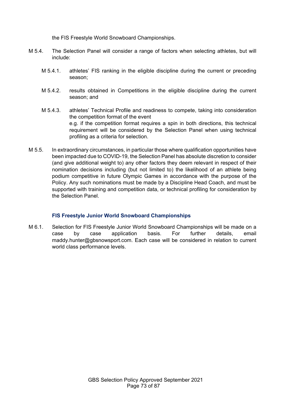the FIS Freestyle World Snowboard Championships.

- M 5.4. The Selection Panel will consider a range of factors when selecting athletes, but will include:
	- M 5.4.1. athletes' FIS ranking in the eligible discipline during the current or preceding season;
	- M 5.4.2. results obtained in Competitions in the eligible discipline during the current season; and
	- M 5.4.3. athletes' Technical Profile and readiness to compete, taking into consideration the competition format of the event e.g. if the competition format requires a spin in both directions, this technical requirement will be considered by the Selection Panel when using technical profiling as a criteria for selection.
- M 5.5. In extraordinary circumstances, in particular those where qualification opportunities have been impacted due to COVID-19, the Selection Panel has absolute discretion to consider (and give additional weight to) any other factors they deem relevant in respect of their nomination decisions including (but not limited to) the likelihood of an athlete being podium competitive in future Olympic Games in accordance with the purpose of the Policy. Any such nominations must be made by a Discipline Head Coach, and must be supported with training and competition data, or technical profiling for consideration by the Selection Panel.

## **FIS Freestyle Junior World Snowboard Championships**

M 6.1. Selection for FIS Freestyle Junior World Snowboard Championships will be made on a case by case application basis. For further details, email maddy.hunter@gbsnowsport.com. Each case will be considered in relation to current world class performance levels.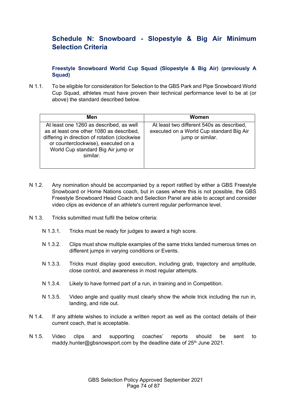# **Schedule N: Snowboard - Slopestyle & Big Air Minimum Selection Criteria**

## **Freestyle Snowboard World Cup Squad (Slopestyle & Big Air) (previously A Squad)**

N 1.1. To be eligible for consideration for Selection to the GBS Park and Pipe Snowboard World Cup Squad, athletes must have proven their technical performance level to be at (or above) the standard described below.

| Men                                                                                                                                                                                                                           | Women                                                                                                     |
|-------------------------------------------------------------------------------------------------------------------------------------------------------------------------------------------------------------------------------|-----------------------------------------------------------------------------------------------------------|
| At least one 1260 as described, as well<br>as at least one other 1080 as described,<br>differing in direction of rotation (clockwise<br>or counterclockwise), executed on a<br>World Cup standard Big Air jump or<br>similar. | At least two different 540s as described,<br>executed on a World Cup standard Big Air<br>jump or similar. |

- N 1.2. Any nomination should be accompanied by a report ratified by either a GBS Freestyle Snowboard or Home Nations coach, but in cases where this is not possible, the GBS Freestyle Snowboard Head Coach and Selection Panel are able to accept and consider video clips as evidence of an athlete's current regular performance level.
- N 1.3. Tricks submitted must fulfil the below criteria:
	- N 1.3.1. Tricks must be ready for judges to award a high score.
	- N 1.3.2. Clips must show multiple examples of the same tricks landed numerous times on different jumps in varying conditions or Events.
	- N 1.3.3. Tricks must display good execution, including grab, trajectory and amplitude, close control, and awareness in most regular attempts.
	- N 1.3.4. Likely to have formed part of a run, in training and in Competition.
	- N 1.3.5. Video angle and quality must clearly show the whole trick including the run in, landing, and ride out.
- N 1.4. If any athlete wishes to include a written report as well as the contact details of their current coach, that is acceptable.
- N 1.5. Video clips and supporting coaches' reports should be sent to maddy.hunter@gbsnowsport.com by the deadline date of  $25<sup>th</sup>$  June 2021.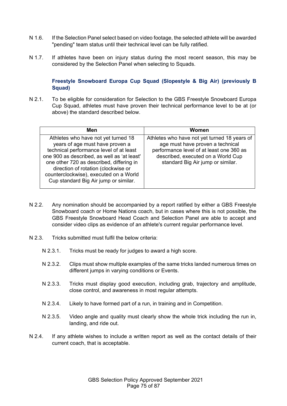- N 1.6. If the Selection Panel select based on video footage, the selected athlete will be awarded "pending" team status until their technical level can be fully ratified.
- N 1.7. If athletes have been on injury status during the most recent season, this may be considered by the Selection Panel when selecting to Squads.

## **Freestyle Snowboard Europa Cup Squad (Slopestyle & Big Air) (previously B Squad)**

N 2.1. To be eligible for consideration for Selection to the GBS Freestyle Snowboard Europa Cup Squad, athletes must have proven their technical performance level to be at (or above) the standard described below.

| Men                                                                                                                                                                                                                                                                                                                                    | Women                                                                                                                                                                                                   |
|----------------------------------------------------------------------------------------------------------------------------------------------------------------------------------------------------------------------------------------------------------------------------------------------------------------------------------------|---------------------------------------------------------------------------------------------------------------------------------------------------------------------------------------------------------|
| Athletes who have not yet turned 18<br>years of age must have proven a<br>technical performance level of at least<br>one 900 as described, as well as 'at least'<br>one other 720 as described, differing in<br>direction of rotation (clockwise or<br>counterclockwise), executed on a World<br>Cup standard Big Air jump or similar. | Athletes who have not yet turned 18 years of<br>age must have proven a technical<br>performance level of at least one 360 as<br>described, executed on a World Cup<br>standard Big Air jump or similar. |

- N 2.2. Any nomination should be accompanied by a report ratified by either a GBS Freestyle Snowboard coach or Home Nations coach, but in cases where this is not possible, the GBS Freestyle Snowboard Head Coach and Selection Panel are able to accept and consider video clips as evidence of an athlete's current regular performance level.
- N 2.3. Tricks submitted must fulfil the below criteria:
	- N 2.3.1. Tricks must be ready for judges to award a high score.
	- N 2.3.2. Clips must show multiple examples of the same tricks landed numerous times on different jumps in varying conditions or Events.
	- N 2.3.3. Tricks must display good execution, including grab, trajectory and amplitude, close control, and awareness in most regular attempts.
	- N 2.3.4. Likely to have formed part of a run, in training and in Competition.
	- N 2.3.5. Video angle and quality must clearly show the whole trick including the run in, landing, and ride out.
- N 2.4. If any athlete wishes to include a written report as well as the contact details of their current coach, that is acceptable.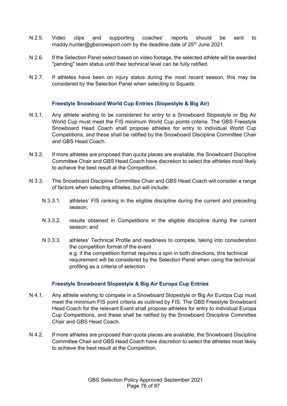- N 2.5. Video clips and supporting coaches' reports should be sent to maddy.hunter@gbsnowsport.com by the deadline date of 25<sup>th</sup> June 2021.
- N 2.6. If the Selection Panel select based on video footage, the selected athlete will be awarded "pending" team status until their technical level can be fully ratified.
- N 2.7. If athletes have been on injury status during the most recent season, this may be considered by the Selection Panel when selecting to Squads.

#### **Freestyle Snowboard World Cup Entries (Slopestyle & Big Air)**

- N 3.1. Any athlete wishing to be considered for entry to a Snowboard Slopestyle or Big Air World Cup must meet the FIS minimum World Cup points criteria. The GBS Freestyle Snowboard Head Coach shall propose athletes for entry to individual World Cup Competitions, and these shall be ratified by the Snowboard Discipline Committee Chair and GBS Head Coach.
- N 3.2. If more athletes are proposed than quota places are available, the Snowboard Discipline Committee Chair and GBS Head Coach have discretion to select the athletes most likely to achieve the best result at the Competition.
- N 3.3. The Snowboard Discipline Committee Chair and GBS Head Coach will consider a range of factors when selecting athletes, but will include:
	- N 3.3.1. athletes' FIS ranking in the eligible discipline during the current and preceding season;
	- N 3.3.2. results obtained in Competitions in the eligible discipline during the current season; and
	- N 3.3.3. athletes' Technical Profile and readiness to compete, taking into consideration the competition format of the event e.g. if the competition format requires a spin in both directions, this technical requirement will be considered by the Selection Panel when using the technical profiling as a criteria of selection

#### **Freestyle Snowboard Slopestyle & Big Air Europa Cup Entries**

- N 4.1. Any athlete wishing to compete in a Snowboard Slopestyle or Big Air Europa Cup must meet the minimum FIS point criteria as outlined by FIS. The GBS Freestyle Snowboard Head Coach for the relevant Event shall propose athletes for entry to individual Europa Cup Competitions, and these shall be ratified by the Snowboard Discipline Committee Chair and GBS Head Coach.
- N 4.2. If more athletes are proposed than quota places are available, the Snowboard Discipline Committee Chair and GBS Head Coach have discretion to select the athletes most likely to achieve the best result at the Competition.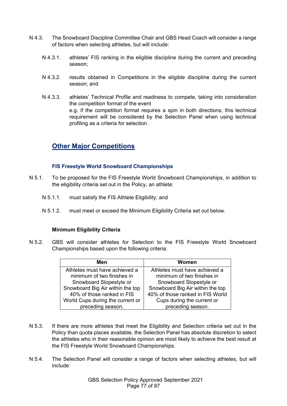- N 4.3. The Snowboard Discipline Committee Chair and GBS Head Coach will consider a range of factors when selecting athletes, but will include:
	- N 4.3.1. athletes' FIS ranking in the eligible discipline during the current and preceding season;
	- N 4.3.2. results obtained in Competitions in the eligible discipline during the current season; and
	- N 4.3.3. athletes' Technical Profile and readiness to compete, taking into consideration the competition format of the event e.g. if the competition format requires a spin in both directions, this technical requirement will be considered by the Selection Panel when using technical profiling as a criteria for selection.

# **Other Major Competitions**

## **FIS Freestyle World Snowboard Championships**

- N 5.1. To be proposed for the FIS Freestyle World Snowboard Championships, in addition to the eligibility criteria set out in the Policy, an athlete:
	- N 5.1.1. must satisfy the FIS Athlete Eligibility; and
	- N 5.1.2. must meet or exceed the Minimum Eligibility Criteria set out below.

## **Minimum Eligibility Criteria**

N 5.2. GBS will consider athletes for Selection to the FIS Freestyle World Snowboard Championships based upon the following criteria:

| Men                              | Women                            |
|----------------------------------|----------------------------------|
| Athletes must have achieved a    | Athletes must have achieved a    |
| minimum of two finishes in       | minimum of two finishes in       |
| Snowboard Slopestyle or          | Snowboard Slopestyle or          |
| Snowboard Big Air within the top | Snowboard Big Air within the top |
| 40% of those ranked in FIS       | 40% of those ranked in FIS World |
| World Cups during the current or | Cups during the current or       |
| preceding season.                | preceding season.                |

- N 5.3. If there are more athletes that meet the Eligibility and Selection criteria set out in the Policy than quota places available, the Selection Panel has absolute discretion to select the athletes who in their reasonable opinion are most likely to achieve the best result at the FIS Freestyle World Snowboard Championships.
- N 5.4. The Selection Panel will consider a range of factors when selecting athletes, but will include: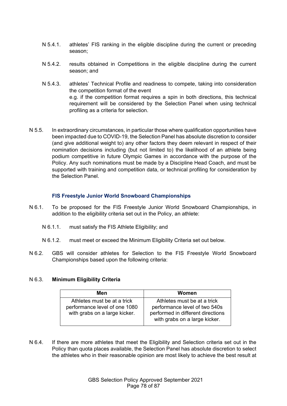- N 5.4.1. athletes' FIS ranking in the eligible discipline during the current or preceding season;
- N 5.4.2. results obtained in Competitions in the eligible discipline during the current season; and
- N 5.4.3. athletes' Technical Profile and readiness to compete, taking into consideration the competition format of the event e.g. if the competition format requires a spin in both directions, this technical requirement will be considered by the Selection Panel when using technical profiling as a criteria for selection.
- N 5.5. In extraordinary circumstances, in particular those where qualification opportunities have been impacted due to COVID-19, the Selection Panel has absolute discretion to consider (and give additional weight to) any other factors they deem relevant in respect of their nomination decisions including (but not limited to) the likelihood of an athlete being podium competitive in future Olympic Games in accordance with the purpose of the Policy. Any such nominations must be made by a Discipline Head Coach, and must be supported with training and competition data, or technical profiling for consideration by the Selection Panel.

## **FIS Freestyle Junior World Snowboard Championships**

- N 6.1. To be proposed for the FIS Freestyle Junior World Snowboard Championships, in addition to the eligibility criteria set out in the Policy, an athlete:
	- N 6.1.1. must satisfy the FIS Athlete Eligibility; and
	- N 6.1.2. must meet or exceed the Minimum Eligibility Criteria set out below.
- N 6.2. GBS will consider athletes for Selection to the FIS Freestyle World Snowboard Championships based upon the following criteria:

## N 6.3. **Minimum Eligibility Criteria**

| Men                                                                                           | Women                                                                                                                              |
|-----------------------------------------------------------------------------------------------|------------------------------------------------------------------------------------------------------------------------------------|
| Athletes must be at a trick<br>performance level of one 1080<br>with grabs on a large kicker. | Athletes must be at a trick<br>performance level of two 540s<br>performed in different directions<br>with grabs on a large kicker. |

N 6.4. If there are more athletes that meet the Eligibility and Selection criteria set out in the Policy than quota places available, the Selection Panel has absolute discretion to select the athletes who in their reasonable opinion are most likely to achieve the best result at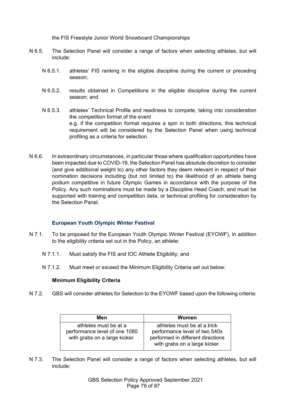the FIS Freestyle Junior World Snowboard Championships

- N 6.5. The Selection Panel will consider a range of factors when selecting athletes, but will include:
	- N 6.5.1. athletes' FIS ranking in the eligible discipline during the current or preceding season;
	- N 6.5.2. results obtained in Competitions in the eligible discipline during the current season; and
	- N 6.5.3. athletes' Technical Profile and readiness to compete, taking into consideration the competition format of the event e.g. if the competition format requires a spin in both directions, this technical requirement will be considered by the Selection Panel when using technical profiling as a criteria for selection.
- N 6.6. In extraordinary circumstances, in particular those where qualification opportunities have been impacted due to COVID-19, the Selection Panel has absolute discretion to consider (and give additional weight to) any other factors they deem relevant in respect of their nomination decisions including (but not limited to) the likelihood of an athlete being podium competitive in future Olympic Games in accordance with the purpose of the Policy. Any such nominations must be made by a Discipline Head Coach, and must be supported with training and competition data, or technical profiling for consideration by the Selection Panel.

## **European Youth Olympic Winter Festival**

- N 7.1. To be proposed for the European Youth Olympic Winter Festival (EYOWF), in addition to the eligibility criteria set out in the Policy, an athlete:
	- N 7.1.1. Must satisfy the FIS and IOC Athlete Eligibility; and
	- N 7.1.2. Must meet or exceed the Minimum Eligibility Criteria set out below:

#### **Minimum Eligibility Criteria**

N 7.2. GBS will consider athletes for Selection to the EYOWF based upon the following criteria:

| Men                                                            | Women                                                              |
|----------------------------------------------------------------|--------------------------------------------------------------------|
| athletes must be at a                                          | athletes must be at a trick                                        |
| performance level of one 1080<br>with grabs on a large kicker. | performance level of two 540s<br>performed in different directions |
|                                                                | with grabs on a large kicker.                                      |

N 7.3. The Selection Panel will consider a range of factors when selecting athletes, but will include: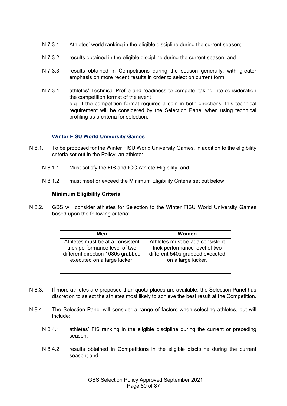- N 7.3.1. Athletes' world ranking in the eligible discipline during the current season;
- N 7.3.2. results obtained in the eligible discipline during the current season; and
- N 7.3.3. results obtained in Competitions during the season generally, with greater emphasis on more recent results in order to select on current form.
- N 7.3.4. athletes' Technical Profile and readiness to compete, taking into consideration the competition format of the event e.g. if the competition format requires a spin in both directions, this technical requirement will be considered by the Selection Panel when using technical profiling as a criteria for selection.

## **Winter FISU World University Games**

- N 8.1. To be proposed for the Winter FISU World University Games, in addition to the eligibility criteria set out in the Policy, an athlete:
	- N 8.1.1. Must satisfy the FIS and IOC Athlete Eligibility; and
	- N 8.1.2. must meet or exceed the Minimum Eligibility Criteria set out below.

#### **Minimum Eligibility Criteria**

N 8.2. GBS will consider athletes for Selection to the Winter FISU World University Games based upon the following criteria:

| Men                               | Women                            |
|-----------------------------------|----------------------------------|
| Athletes must be at a consistent  | Athletes must be at a consistent |
| trick performance level of two    | trick performance level of two   |
| different direction 1080s grabbed | different 540s grabbed executed  |
| executed on a large kicker.       | on a large kicker.               |

- N 8.3. If more athletes are proposed than quota places are available, the Selection Panel has discretion to select the athletes most likely to achieve the best result at the Competition.
- N 8.4. The Selection Panel will consider a range of factors when selecting athletes, but will include:
	- N 8.4.1. athletes' FIS ranking in the eligible discipline during the current or preceding season;
	- N 8.4.2. results obtained in Competitions in the eligible discipline during the current season; and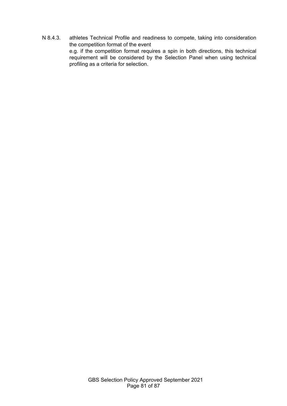N 8.4.3. athletes Technical Profile and readiness to compete, taking into consideration the competition format of the event e.g. if the competition format requires a spin in both directions, this technical requirement will be considered by the Selection Panel when using technical profiling as a criteria for selection.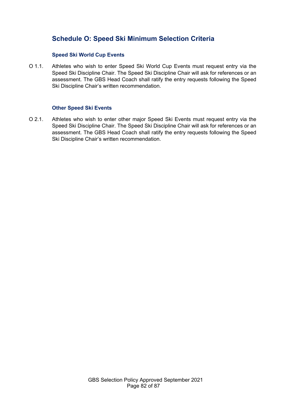# **Schedule O: Speed Ski Minimum Selection Criteria**

## **Speed Ski World Cup Events**

O 1.1. Athletes who wish to enter Speed Ski World Cup Events must request entry via the Speed Ski Discipline Chair. The Speed Ski Discipline Chair will ask for references or an assessment. The GBS Head Coach shall ratify the entry requests following the Speed Ski Discipline Chair's written recommendation.

#### **Other Speed Ski Events**

O 2.1. Athletes who wish to enter other major Speed Ski Events must request entry via the Speed Ski Discipline Chair. The Speed Ski Discipline Chair will ask for references or an assessment. The GBS Head Coach shall ratify the entry requests following the Speed Ski Discipline Chair's written recommendation.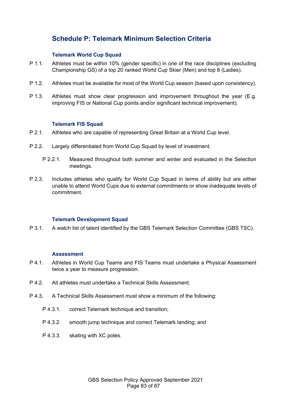# **Schedule P: Telemark Minimum Selection Criteria**

## **Telemark World Cup Squad**

- P 1.1. Athletes must be within 10% (gender specific) in one of the race disciplines (excluding Championship GS) of a top 20 ranked World Cup Skier (Men) and top 8 (Ladies).
- P 1.2. Athletes must be available for most of the World Cup season (based upon consistency).
- P 1.3. Athletes must show clear progression and improvement throughout the year (E.g. improving FIS or National Cup points and/or significant technical improvement).

## **Telemark FIS Squad**

- P 2.1. Athletes who are capable of representing Great Britain at a World Cup level.
- P 2.2. Largely differentiated from World Cup Squad by level of investment.
	- P 2.2.1. Measured throughout both summer and winter and evaluated in the Selection meetings.
- P 2.3. Includes athletes who qualify for World Cup Squad in terms of ability but are either unable to attend World Cups due to external commitments or show inadequate levels of commitment.

## **Telemark Development Squad**

P 3.1. A watch list of talent identified by the GBS Telemark Selection Committee (GBS TSC).

#### **Assessment**

- P 4.1. Athletes in World Cup Teams and FIS Teams must undertake a Physical Assessment twice a year to measure progression.
- P 4.2. All athletes must undertake a Technical Skills Assessment.
- P 4.3. A Technical Skills Assessment must show a minimum of the following:
	- P 4.3.1. correct Telemark technique and transition;
	- P 4.3.2. smooth jump technique and correct Telemark landing; and
	- P 4.3.3. skating with XC poles.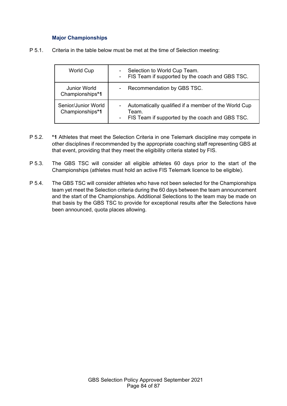## **Major Championships**

P 5.1. Criteria in the table below must be met at the time of Selection meeting:

| <b>World Cup</b>                       | Selection to World Cup Team.<br>۰<br>- FIS Team if supported by the coach and GBS TSC.                                                         |
|----------------------------------------|------------------------------------------------------------------------------------------------------------------------------------------------|
| <b>Junior World</b><br>Championships*1 | Recommendation by GBS TSC.<br>$\blacksquare$                                                                                                   |
| Senior/Junior World<br>Championships*1 | Automatically qualified if a member of the World Cup<br>$\overline{\phantom{0}}$<br>Team.<br>- FIS Team if supported by the coach and GBS TSC. |

- P 5.2. **\*1** Athletes that meet the Selection Criteria in one Telemark discipline may compete in other disciplines if recommended by the appropriate coaching staff representing GBS at that event, providing that they meet the eligibility criteria stated by FIS.
- P 5.3. The GBS TSC will consider all eligible athletes 60 days prior to the start of the Championships (athletes must hold an active FIS Telemark licence to be eligible).
- P 5.4. The GBS TSC will consider athletes who have not been selected for the Championships team yet meet the Selection criteria during the 60 days between the team announcement and the start of the Championships. Additional Selections to the team may be made on that basis by the GBS TSC to provide for exceptional results after the Selections have been announced, quota places allowing.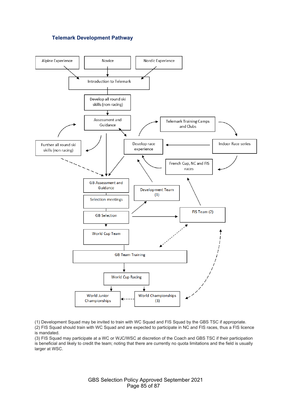#### **Telemark Development Pathway**



(1) Development Squad may be invited to train with WC Squad and FIS Squad by the GBS TSC if appropriate. (2) FIS Squad should train with WC Squad and are expected to participate in NC and FIS races, thus a FIS licence is mandated.

(3) FIS Squad may participate at a WC or WJC/WSC at discretion of the Coach and GBS TSC if their participation is beneficial and likely to credit the team; noting that there are currently no quota limitations and the field is usually larger at WSC.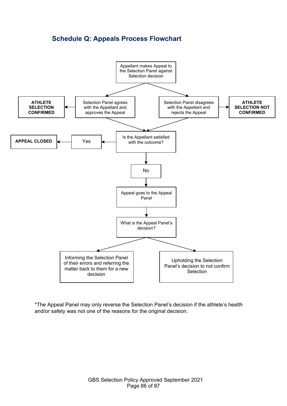# **Schedule Q: Appeals Process Flowchart**



\*The Appeal Panel may only reverse the Selection Panel's decision if the athlete's health and/or safety was not one of the reasons for the original decision.